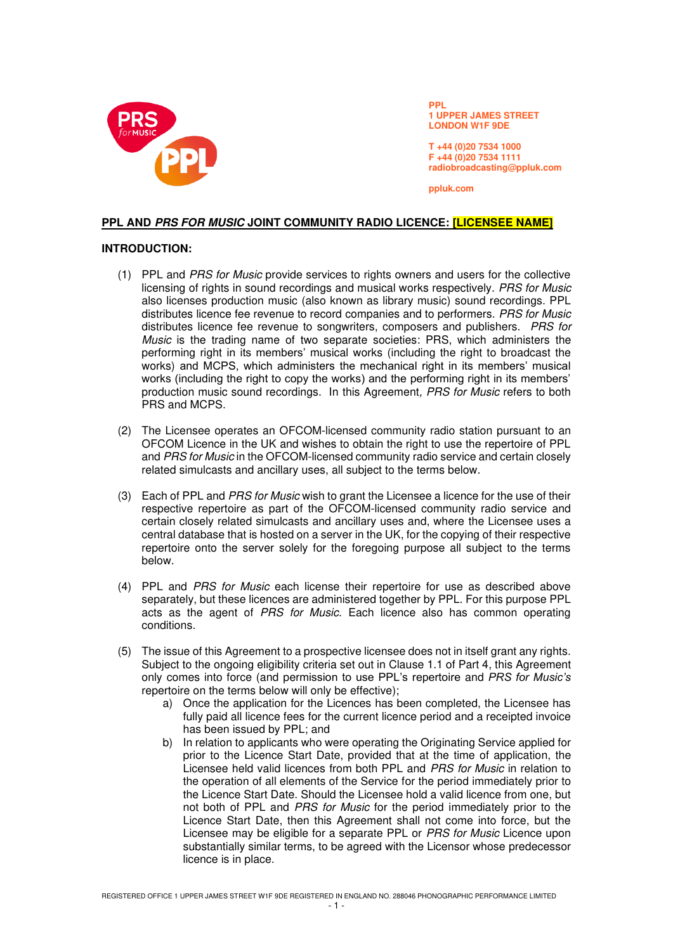

**PPL 1 UPPER JAMES STREET LONDON W1F 9DE** 

**T +44 (0)20 7534 1000 F +44 (0)20 7534 1111 radiobroadcasting@ppluk.com** 

**ppluk.com** 

# **PPL AND PRS FOR MUSIC JOINT COMMUNITY RADIO LICENCE: [LICENSEE NAME]**

### **INTRODUCTION:**

- (1) PPL and PRS for Music provide services to rights owners and users for the collective licensing of rights in sound recordings and musical works respectively. PRS for Music also licenses production music (also known as library music) sound recordings. PPL distributes licence fee revenue to record companies and to performers. PRS for Music distributes licence fee revenue to songwriters, composers and publishers. PRS for Music is the trading name of two separate societies: PRS, which administers the performing right in its members' musical works (including the right to broadcast the works) and MCPS, which administers the mechanical right in its members' musical works (including the right to copy the works) and the performing right in its members' production music sound recordings. In this Agreement, PRS for Music refers to both PRS and MCPS.
- (2) The Licensee operates an OFCOM-licensed community radio station pursuant to an OFCOM Licence in the UK and wishes to obtain the right to use the repertoire of PPL and PRS for Music in the OFCOM-licensed community radio service and certain closely related simulcasts and ancillary uses, all subject to the terms below.
- (3) Each of PPL and PRS for Music wish to grant the Licensee a licence for the use of their respective repertoire as part of the OFCOM-licensed community radio service and certain closely related simulcasts and ancillary uses and, where the Licensee uses a central database that is hosted on a server in the UK, for the copying of their respective repertoire onto the server solely for the foregoing purpose all subject to the terms below.
- (4) PPL and PRS for Music each license their repertoire for use as described above separately, but these licences are administered together by PPL. For this purpose PPL acts as the agent of PRS for Music. Each licence also has common operating conditions.
- (5) The issue of this Agreement to a prospective licensee does not in itself grant any rights. Subject to the ongoing eligibility criteria set out in Clause 1.1 of Part 4, this Agreement only comes into force (and permission to use PPL's repertoire and *PRS for Music's*  repertoire on the terms below will only be effective);
	- a) Once the application for the Licences has been completed, the Licensee has fully paid all licence fees for the current licence period and a receipted invoice has been issued by PPL; and
	- b) In relation to applicants who were operating the Originating Service applied for prior to the Licence Start Date, provided that at the time of application, the Licensee held valid licences from both PPL and PRS for Music in relation to the operation of all elements of the Service for the period immediately prior to the Licence Start Date. Should the Licensee hold a valid licence from one, but not both of PPL and PRS for Music for the period immediately prior to the Licence Start Date, then this Agreement shall not come into force, but the Licensee may be eligible for a separate PPL or PRS for Music Licence upon substantially similar terms, to be agreed with the Licensor whose predecessor licence is in place.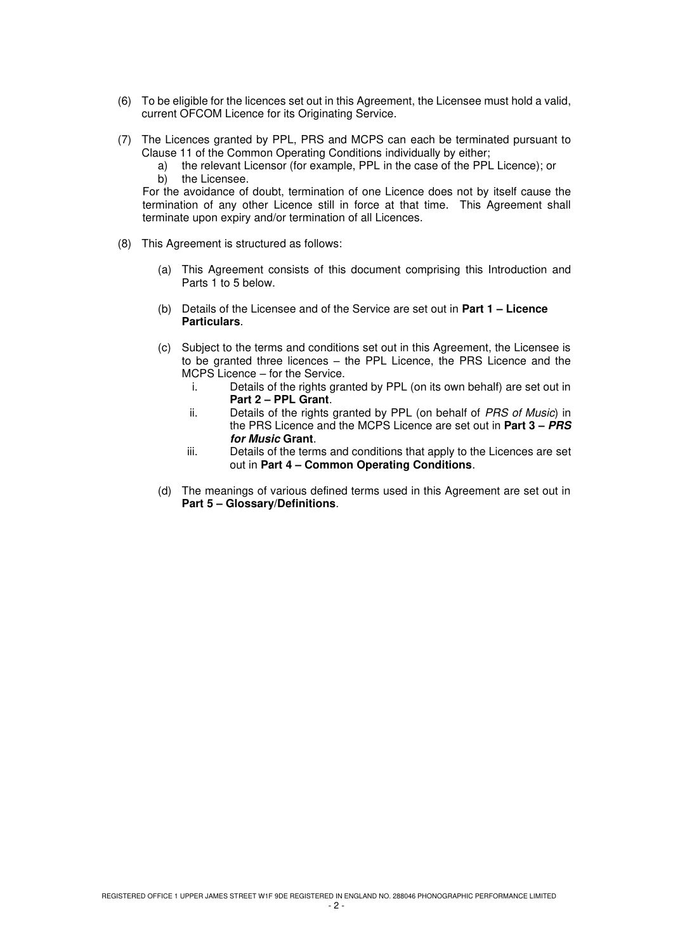- (6) To be eligible for the licences set out in this Agreement, the Licensee must hold a valid, current OFCOM Licence for its Originating Service.
- (7) The Licences granted by PPL, PRS and MCPS can each be terminated pursuant to Clause 11 of the Common Operating Conditions individually by either;
	- a) the relevant Licensor (for example, PPL in the case of the PPL Licence); or b) the Licensee.

For the avoidance of doubt, termination of one Licence does not by itself cause the termination of any other Licence still in force at that time. This Agreement shall terminate upon expiry and/or termination of all Licences.

- (8) This Agreement is structured as follows:
	- (a) This Agreement consists of this document comprising this Introduction and Parts 1 to 5 below.
	- (b) Details of the Licensee and of the Service are set out in **Part 1 – Licence Particulars**.
	- (c) Subject to the terms and conditions set out in this Agreement, the Licensee is to be granted three licences – the PPL Licence, the PRS Licence and the MCPS Licence – for the Service.
		- i. Details of the rights granted by PPL (on its own behalf) are set out in **Part 2 – PPL Grant**.
		- ii. Details of the rights granted by PPL (on behalf of PRS of Music) in the PRS Licence and the MCPS Licence are set out in **Part 3 – PRS for Music Grant**.
		- iii. Details of the terms and conditions that apply to the Licences are set out in **Part 4 – Common Operating Conditions**.
	- (d) The meanings of various defined terms used in this Agreement are set out in **Part 5 – Glossary/Definitions**.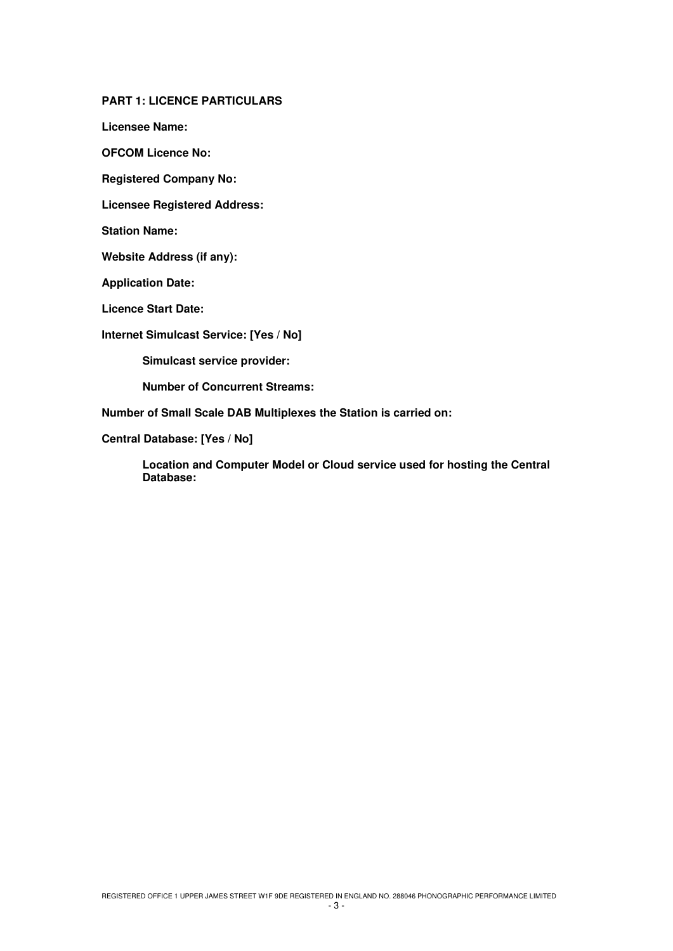**PART 1: LICENCE PARTICULARS**

**Licensee Name:** 

**OFCOM Licence No:** 

**Registered Company No:** 

**Licensee Registered Address:** 

**Station Name:** 

**Website Address (if any):** 

**Application Date:** 

**Licence Start Date:** 

**Internet Simulcast Service: [Yes / No]** 

 **Simulcast service provider:** 

 **Number of Concurrent Streams:** 

**Number of Small Scale DAB Multiplexes the Station is carried on:** 

**Central Database: [Yes / No]** 

**Location and Computer Model or Cloud service used for hosting the Central Database:**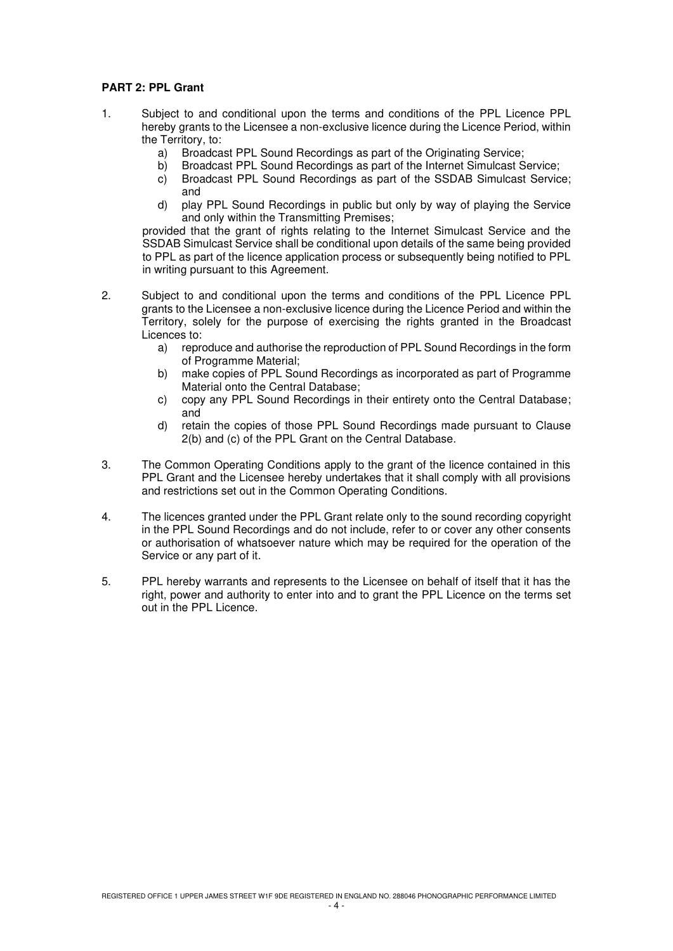# **PART 2: PPL Grant**

- 1. Subject to and conditional upon the terms and conditions of the PPL Licence PPL hereby grants to the Licensee a non-exclusive licence during the Licence Period, within the Territory, to:
	- a) Broadcast PPL Sound Recordings as part of the Originating Service;
	- b) Broadcast PPL Sound Recordings as part of the Internet Simulcast Service;
	- c) Broadcast PPL Sound Recordings as part of the SSDAB Simulcast Service; and
	- d) play PPL Sound Recordings in public but only by way of playing the Service and only within the Transmitting Premises;

provided that the grant of rights relating to the Internet Simulcast Service and the SSDAB Simulcast Service shall be conditional upon details of the same being provided to PPL as part of the licence application process or subsequently being notified to PPL in writing pursuant to this Agreement.

- 2. Subject to and conditional upon the terms and conditions of the PPL Licence PPL grants to the Licensee a non-exclusive licence during the Licence Period and within the Territory, solely for the purpose of exercising the rights granted in the Broadcast Licences to:
	- a) reproduce and authorise the reproduction of PPL Sound Recordings in the form of Programme Material;
	- b) make copies of PPL Sound Recordings as incorporated as part of Programme Material onto the Central Database;
	- c) copy any PPL Sound Recordings in their entirety onto the Central Database; and
	- d) retain the copies of those PPL Sound Recordings made pursuant to Clause 2(b) and (c) of the PPL Grant on the Central Database.
- 3. The Common Operating Conditions apply to the grant of the licence contained in this PPL Grant and the Licensee hereby undertakes that it shall comply with all provisions and restrictions set out in the Common Operating Conditions.
- 4. The licences granted under the PPL Grant relate only to the sound recording copyright in the PPL Sound Recordings and do not include, refer to or cover any other consents or authorisation of whatsoever nature which may be required for the operation of the Service or any part of it.
- 5. PPL hereby warrants and represents to the Licensee on behalf of itself that it has the right, power and authority to enter into and to grant the PPL Licence on the terms set out in the PPL Licence.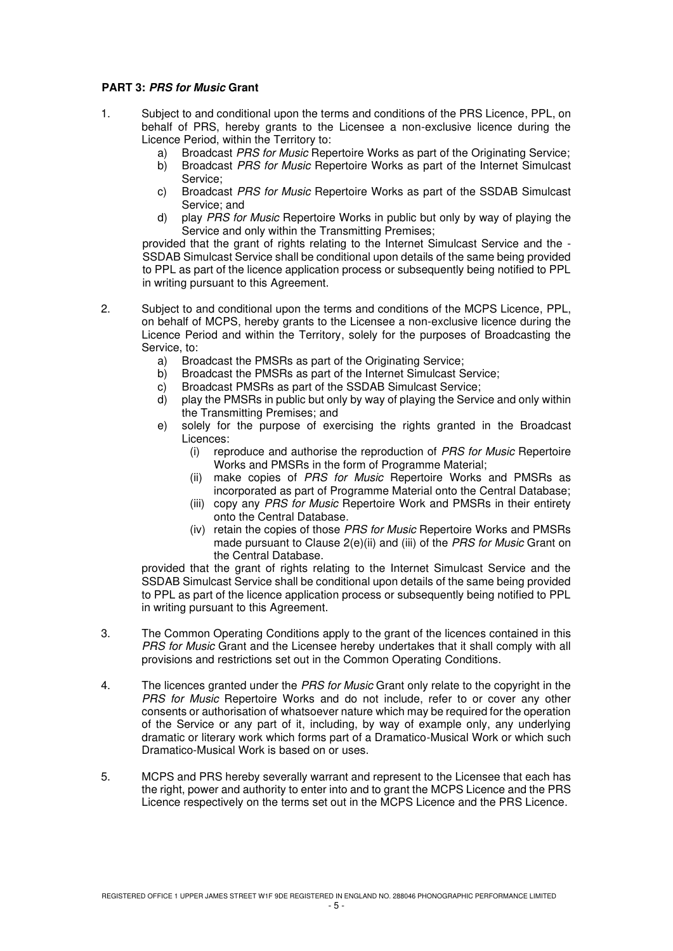# **PART 3: PRS for Music Grant**

- 1. Subject to and conditional upon the terms and conditions of the PRS Licence, PPL, on behalf of PRS, hereby grants to the Licensee a non-exclusive licence during the Licence Period, within the Territory to:
	-
	- a) Broadcast *PRS for Music* Repertoire Works as part of the Originating Service;<br>b) Broadcast *PRS for Music* Repertoire Works as part of the Internet Simulcast Broadcast PRS for Music Repertoire Works as part of the Internet Simulcast Service;
	- c) Broadcast PRS for Music Repertoire Works as part of the SSDAB Simulcast Service; and
	- d) play PRS for Music Repertoire Works in public but only by way of playing the Service and only within the Transmitting Premises;

provided that the grant of rights relating to the Internet Simulcast Service and the - SSDAB Simulcast Service shall be conditional upon details of the same being provided to PPL as part of the licence application process or subsequently being notified to PPL in writing pursuant to this Agreement.

- 2. Subject to and conditional upon the terms and conditions of the MCPS Licence, PPL, on behalf of MCPS, hereby grants to the Licensee a non-exclusive licence during the Licence Period and within the Territory, solely for the purposes of Broadcasting the Service, to:
	- a) Broadcast the PMSRs as part of the Originating Service;
	- b) Broadcast the PMSRs as part of the Internet Simulcast Service;
	- c) Broadcast PMSRs as part of the SSDAB Simulcast Service;
	- d) play the PMSRs in public but only by way of playing the Service and only within the Transmitting Premises; and
	- e) solely for the purpose of exercising the rights granted in the Broadcast Licences:
		- (i) reproduce and authorise the reproduction of PRS for Music Repertoire Works and PMSRs in the form of Programme Material:
		- (ii) make copies of PRS for Music Repertoire Works and PMSRs as incorporated as part of Programme Material onto the Central Database;
		- (iii) copy any PRS for Music Repertoire Work and PMSRs in their entirety onto the Central Database.
		- (iv) retain the copies of those PRS for Music Repertoire Works and PMSRs made pursuant to Clause 2(e)(ii) and (iii) of the PRS for Music Grant on the Central Database.

provided that the grant of rights relating to the Internet Simulcast Service and the SSDAB Simulcast Service shall be conditional upon details of the same being provided to PPL as part of the licence application process or subsequently being notified to PPL in writing pursuant to this Agreement.

- 3. The Common Operating Conditions apply to the grant of the licences contained in this PRS for Music Grant and the Licensee hereby undertakes that it shall comply with all provisions and restrictions set out in the Common Operating Conditions.
- 4. The licences granted under the *PRS for Music* Grant only relate to the copyright in the PRS for Music Repertoire Works and do not include, refer to or cover any other consents or authorisation of whatsoever nature which may be required for the operation of the Service or any part of it, including, by way of example only, any underlying dramatic or literary work which forms part of a Dramatico-Musical Work or which such Dramatico-Musical Work is based on or uses.
- 5. MCPS and PRS hereby severally warrant and represent to the Licensee that each has the right, power and authority to enter into and to grant the MCPS Licence and the PRS Licence respectively on the terms set out in the MCPS Licence and the PRS Licence.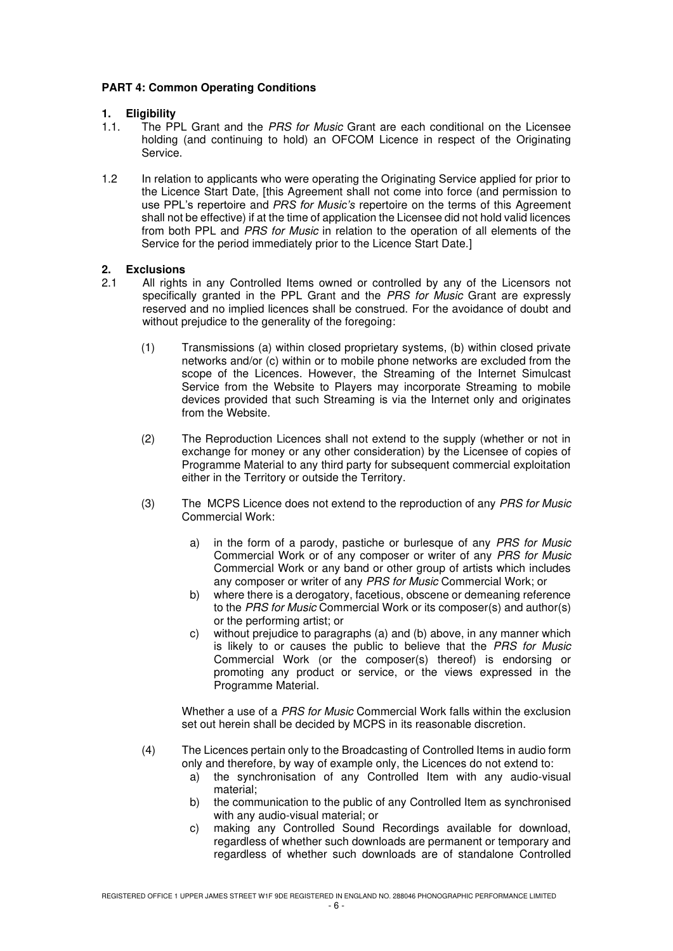# **PART 4: Common Operating Conditions**

# **1. Eligibility**

- 1.1. The PPL Grant and the *PRS for Music* Grant are each conditional on the Licensee holding (and continuing to hold) an OFCOM Licence in respect of the Originating Service.
- 1.2 In relation to applicants who were operating the Originating Service applied for prior to the Licence Start Date, [this Agreement shall not come into force (and permission to use PPL's repertoire and *PRS for Music's* repertoire on the terms of this Agreement shall not be effective) if at the time of application the Licensee did not hold valid licences from both PPL and PRS for Music in relation to the operation of all elements of the Service for the period immediately prior to the Licence Start Date.]

# **2. Exclusions**

- 2.1 All rights in any Controlled Items owned or controlled by any of the Licensors not specifically granted in the PPL Grant and the PRS for Music Grant are expressly reserved and no implied licences shall be construed. For the avoidance of doubt and without prejudice to the generality of the foregoing:
	- (1) Transmissions (a) within closed proprietary systems, (b) within closed private networks and/or (c) within or to mobile phone networks are excluded from the scope of the Licences. However, the Streaming of the Internet Simulcast Service from the Website to Players may incorporate Streaming to mobile devices provided that such Streaming is via the Internet only and originates from the Website.
	- (2) The Reproduction Licences shall not extend to the supply (whether or not in exchange for money or any other consideration) by the Licensee of copies of Programme Material to any third party for subsequent commercial exploitation either in the Territory or outside the Territory.
	- (3) The MCPS Licence does not extend to the reproduction of any PRS for Music Commercial Work:
		- a) in the form of a parody, pastiche or burlesque of any PRS for Music Commercial Work or of any composer or writer of any PRS for Music Commercial Work or any band or other group of artists which includes any composer or writer of any PRS for Music Commercial Work; or
		- b) where there is a derogatory, facetious, obscene or demeaning reference to the PRS for Music Commercial Work or its composer(s) and author(s) or the performing artist; or
		- c) without prejudice to paragraphs (a) and (b) above, in any manner which is likely to or causes the public to believe that the PRS for Music Commercial Work (or the composer(s) thereof) is endorsing or promoting any product or service, or the views expressed in the Programme Material.

Whether a use of a *PRS for Music* Commercial Work falls within the exclusion set out herein shall be decided by MCPS in its reasonable discretion.

- (4) The Licences pertain only to the Broadcasting of Controlled Items in audio form only and therefore, by way of example only, the Licences do not extend to:
	- a) the synchronisation of any Controlled Item with any audio-visual material;
	- b) the communication to the public of any Controlled Item as synchronised with any audio-visual material; or
	- c) making any Controlled Sound Recordings available for download, regardless of whether such downloads are permanent or temporary and regardless of whether such downloads are of standalone Controlled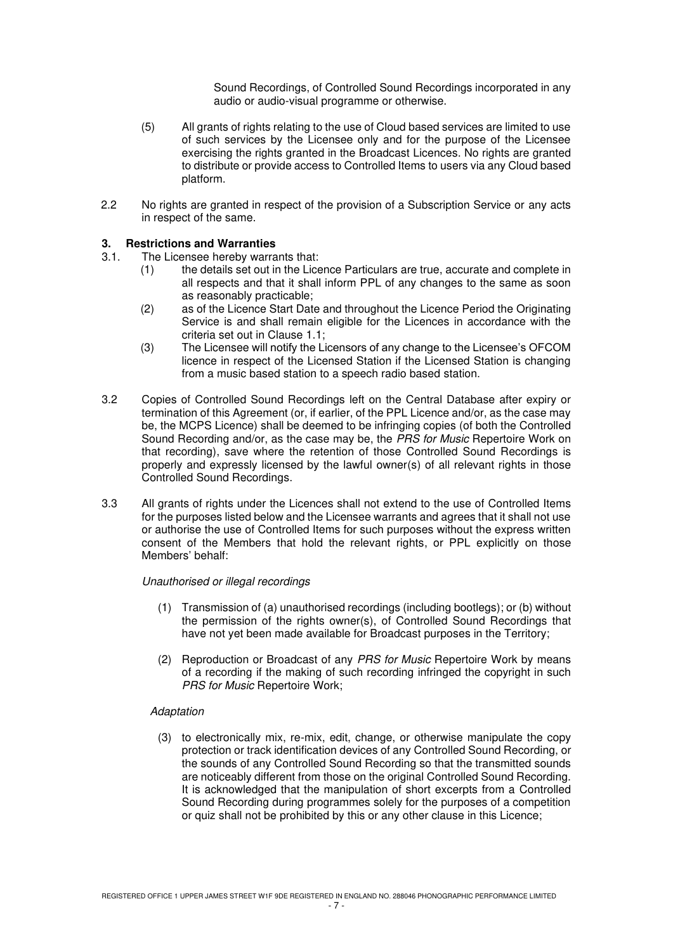Sound Recordings, of Controlled Sound Recordings incorporated in any audio or audio-visual programme or otherwise.

- (5) All grants of rights relating to the use of Cloud based services are limited to use of such services by the Licensee only and for the purpose of the Licensee exercising the rights granted in the Broadcast Licences. No rights are granted to distribute or provide access to Controlled Items to users via any Cloud based platform.
- 2.2 No rights are granted in respect of the provision of a Subscription Service or any acts in respect of the same.

# **3. Restrictions and Warranties**

- 3.1. The Licensee hereby warrants that:
	- (1) the details set out in the Licence Particulars are true, accurate and complete in all respects and that it shall inform PPL of any changes to the same as soon as reasonably practicable;
	- (2) as of the Licence Start Date and throughout the Licence Period the Originating Service is and shall remain eligible for the Licences in accordance with the criteria set out in Clause 1.1;
	- (3) The Licensee will notify the Licensors of any change to the Licensee's OFCOM licence in respect of the Licensed Station if the Licensed Station is changing from a music based station to a speech radio based station.
- 3.2 Copies of Controlled Sound Recordings left on the Central Database after expiry or termination of this Agreement (or, if earlier, of the PPL Licence and/or, as the case may be, the MCPS Licence) shall be deemed to be infringing copies (of both the Controlled Sound Recording and/or, as the case may be, the PRS for Music Repertoire Work on that recording), save where the retention of those Controlled Sound Recordings is properly and expressly licensed by the lawful owner(s) of all relevant rights in those Controlled Sound Recordings.
- 3.3 All grants of rights under the Licences shall not extend to the use of Controlled Items for the purposes listed below and the Licensee warrants and agrees that it shall not use or authorise the use of Controlled Items for such purposes without the express written consent of the Members that hold the relevant rights, or PPL explicitly on those Members' behalf:

### Unauthorised or illegal recordings

- (1) Transmission of (a) unauthorised recordings (including bootlegs); or (b) without the permission of the rights owner(s), of Controlled Sound Recordings that have not yet been made available for Broadcast purposes in the Territory;
- (2) Reproduction or Broadcast of any PRS for Music Repertoire Work by means of a recording if the making of such recording infringed the copyright in such PRS for Music Repertoire Work;

### Adaptation

(3) to electronically mix, re-mix, edit, change, or otherwise manipulate the copy protection or track identification devices of any Controlled Sound Recording, or the sounds of any Controlled Sound Recording so that the transmitted sounds are noticeably different from those on the original Controlled Sound Recording. It is acknowledged that the manipulation of short excerpts from a Controlled Sound Recording during programmes solely for the purposes of a competition or quiz shall not be prohibited by this or any other clause in this Licence;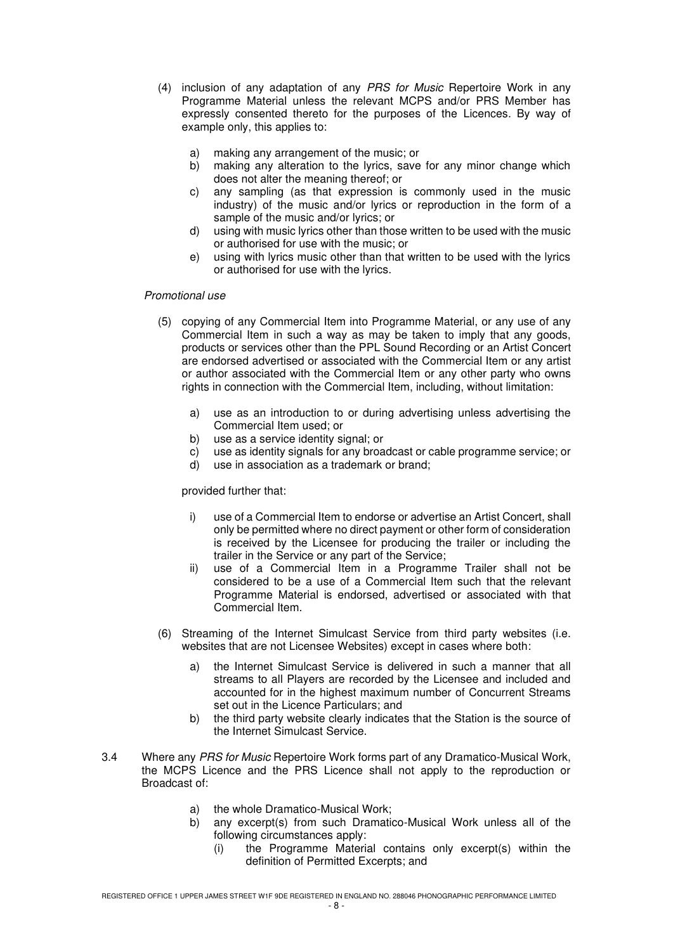- (4) inclusion of any adaptation of any PRS for Music Repertoire Work in any Programme Material unless the relevant MCPS and/or PRS Member has expressly consented thereto for the purposes of the Licences. By way of example only, this applies to:
	- a) making any arrangement of the music; or
	- b) making any alteration to the lyrics, save for any minor change which does not alter the meaning thereof; or
	- c) any sampling (as that expression is commonly used in the music industry) of the music and/or lyrics or reproduction in the form of a sample of the music and/or lyrics; or
	- d) using with music lyrics other than those written to be used with the music or authorised for use with the music; or
	- e) using with lyrics music other than that written to be used with the lyrics or authorised for use with the lyrics.

# Promotional use

- (5) copying of any Commercial Item into Programme Material, or any use of any Commercial Item in such a way as may be taken to imply that any goods, products or services other than the PPL Sound Recording or an Artist Concert are endorsed advertised or associated with the Commercial Item or any artist or author associated with the Commercial Item or any other party who owns rights in connection with the Commercial Item, including, without limitation:
	- a) use as an introduction to or during advertising unless advertising the Commercial Item used; or
	- b) use as a service identity signal; or
	- c) use as identity signals for any broadcast or cable programme service; or d) use in association as a trademark or brand:
	- use in association as a trademark or brand:

### provided further that:

- i) use of a Commercial Item to endorse or advertise an Artist Concert, shall only be permitted where no direct payment or other form of consideration is received by the Licensee for producing the trailer or including the trailer in the Service or any part of the Service;
- ii) use of a Commercial Item in a Programme Trailer shall not be considered to be a use of a Commercial Item such that the relevant Programme Material is endorsed, advertised or associated with that Commercial Item.
- (6) Streaming of the Internet Simulcast Service from third party websites (i.e. websites that are not Licensee Websites) except in cases where both:
	- a) the Internet Simulcast Service is delivered in such a manner that all streams to all Players are recorded by the Licensee and included and accounted for in the highest maximum number of Concurrent Streams set out in the Licence Particulars; and
	- b) the third party website clearly indicates that the Station is the source of the Internet Simulcast Service.
- 3.4 Where any PRS for Music Repertoire Work forms part of any Dramatico-Musical Work, the MCPS Licence and the PRS Licence shall not apply to the reproduction or Broadcast of:
	- a) the whole Dramatico-Musical Work;
	- b) any excerpt(s) from such Dramatico-Musical Work unless all of the following circumstances apply:
		- (i) the Programme Material contains only excerpt(s) within the definition of Permitted Excerpts; and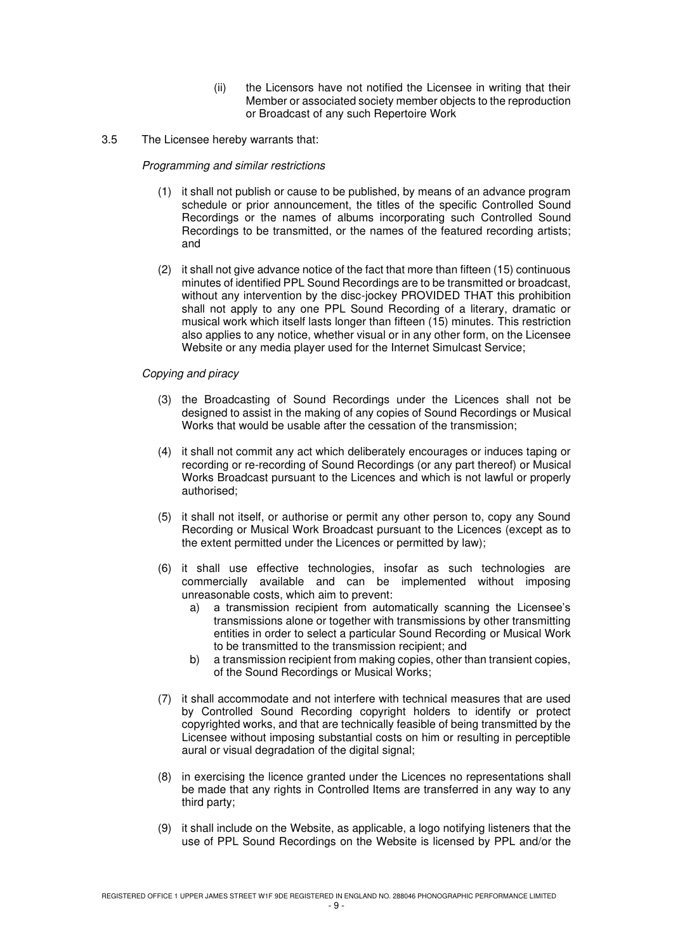- (ii) the Licensors have not notified the Licensee in writing that their Member or associated society member objects to the reproduction or Broadcast of any such Repertoire Work
- 3.5 The Licensee hereby warrants that:

# Programming and similar restrictions

- (1) it shall not publish or cause to be published, by means of an advance program schedule or prior announcement, the titles of the specific Controlled Sound Recordings or the names of albums incorporating such Controlled Sound Recordings to be transmitted, or the names of the featured recording artists; and
- (2) it shall not give advance notice of the fact that more than fifteen (15) continuous minutes of identified PPL Sound Recordings are to be transmitted or broadcast, without any intervention by the disc-jockey PROVIDED THAT this prohibition shall not apply to any one PPL Sound Recording of a literary, dramatic or musical work which itself lasts longer than fifteen (15) minutes. This restriction also applies to any notice, whether visual or in any other form, on the Licensee Website or any media player used for the Internet Simulcast Service;

# Copying and piracy

- (3) the Broadcasting of Sound Recordings under the Licences shall not be designed to assist in the making of any copies of Sound Recordings or Musical Works that would be usable after the cessation of the transmission;
- (4) it shall not commit any act which deliberately encourages or induces taping or recording or re-recording of Sound Recordings (or any part thereof) or Musical Works Broadcast pursuant to the Licences and which is not lawful or properly authorised;
- (5) it shall not itself, or authorise or permit any other person to, copy any Sound Recording or Musical Work Broadcast pursuant to the Licences (except as to the extent permitted under the Licences or permitted by law);
- (6) it shall use effective technologies, insofar as such technologies are commercially available and can be implemented without imposing unreasonable costs, which aim to prevent:
	- a) a transmission recipient from automatically scanning the Licensee's transmissions alone or together with transmissions by other transmitting entities in order to select a particular Sound Recording or Musical Work to be transmitted to the transmission recipient; and
	- b) a transmission recipient from making copies, other than transient copies, of the Sound Recordings or Musical Works;
- (7) it shall accommodate and not interfere with technical measures that are used by Controlled Sound Recording copyright holders to identify or protect copyrighted works, and that are technically feasible of being transmitted by the Licensee without imposing substantial costs on him or resulting in perceptible aural or visual degradation of the digital signal;
- (8) in exercising the licence granted under the Licences no representations shall be made that any rights in Controlled Items are transferred in any way to any third party;
- (9) it shall include on the Website, as applicable, a logo notifying listeners that the use of PPL Sound Recordings on the Website is licensed by PPL and/or the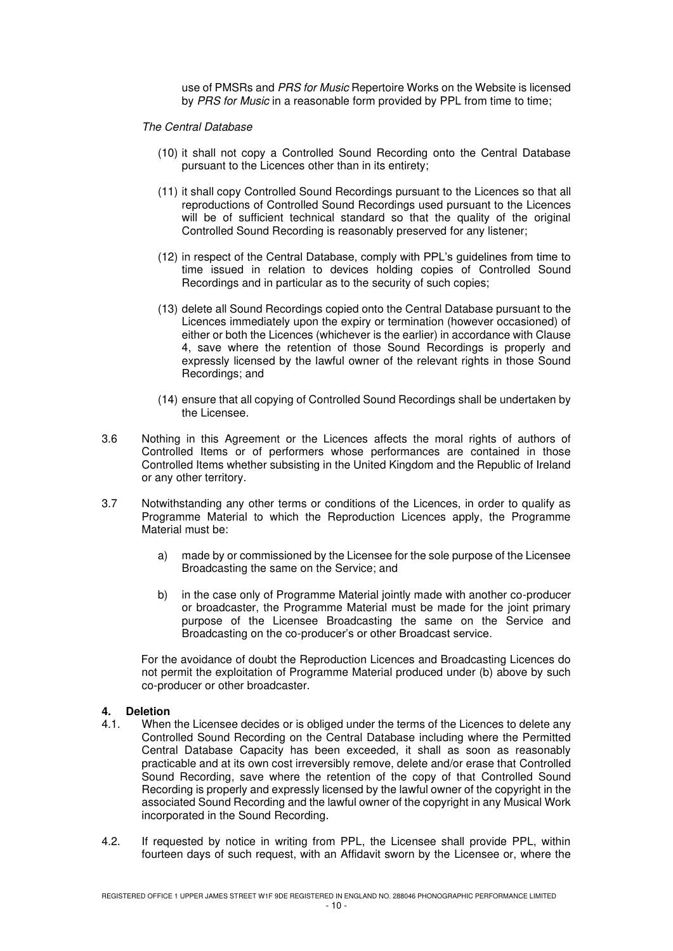use of PMSRs and PRS for Music Repertoire Works on the Website is licensed by PRS for Music in a reasonable form provided by PPL from time to time;

#### The Central Database

- (10) it shall not copy a Controlled Sound Recording onto the Central Database pursuant to the Licences other than in its entirety;
- (11) it shall copy Controlled Sound Recordings pursuant to the Licences so that all reproductions of Controlled Sound Recordings used pursuant to the Licences will be of sufficient technical standard so that the quality of the original Controlled Sound Recording is reasonably preserved for any listener;
- (12) in respect of the Central Database, comply with PPL's guidelines from time to time issued in relation to devices holding copies of Controlled Sound Recordings and in particular as to the security of such copies;
- (13) delete all Sound Recordings copied onto the Central Database pursuant to the Licences immediately upon the expiry or termination (however occasioned) of either or both the Licences (whichever is the earlier) in accordance with Clause 4, save where the retention of those Sound Recordings is properly and expressly licensed by the lawful owner of the relevant rights in those Sound Recordings; and
- (14) ensure that all copying of Controlled Sound Recordings shall be undertaken by the Licensee.
- 3.6 Nothing in this Agreement or the Licences affects the moral rights of authors of Controlled Items or of performers whose performances are contained in those Controlled Items whether subsisting in the United Kingdom and the Republic of Ireland or any other territory.
- 3.7 Notwithstanding any other terms or conditions of the Licences, in order to qualify as Programme Material to which the Reproduction Licences apply, the Programme Material must be:
	- a) made by or commissioned by the Licensee for the sole purpose of the Licensee Broadcasting the same on the Service; and
	- b) in the case only of Programme Material jointly made with another co-producer or broadcaster, the Programme Material must be made for the joint primary purpose of the Licensee Broadcasting the same on the Service and Broadcasting on the co-producer's or other Broadcast service.

For the avoidance of doubt the Reproduction Licences and Broadcasting Licences do not permit the exploitation of Programme Material produced under (b) above by such co-producer or other broadcaster.

# **4. Deletion**

- When the Licensee decides or is obliged under the terms of the Licences to delete any Controlled Sound Recording on the Central Database including where the Permitted Central Database Capacity has been exceeded, it shall as soon as reasonably practicable and at its own cost irreversibly remove, delete and/or erase that Controlled Sound Recording, save where the retention of the copy of that Controlled Sound Recording is properly and expressly licensed by the lawful owner of the copyright in the associated Sound Recording and the lawful owner of the copyright in any Musical Work incorporated in the Sound Recording.
- 4.2. If requested by notice in writing from PPL, the Licensee shall provide PPL, within fourteen days of such request, with an Affidavit sworn by the Licensee or, where the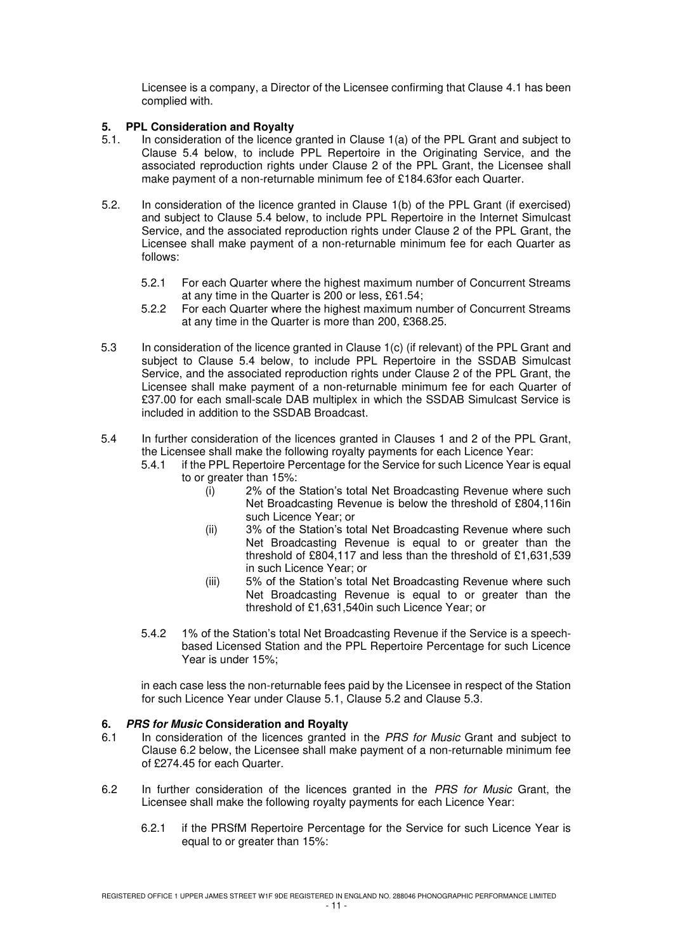Licensee is a company, a Director of the Licensee confirming that Clause 4.1 has been complied with.

# **5. PPL Consideration and Royalty**

- 5.1. In consideration of the licence granted in Clause 1(a) of the PPL Grant and subject to Clause 5.4 below, to include PPL Repertoire in the Originating Service, and the associated reproduction rights under Clause 2 of the PPL Grant, the Licensee shall make payment of a non-returnable minimum fee of £184.63for each Quarter.
- 5.2. In consideration of the licence granted in Clause 1(b) of the PPL Grant (if exercised) and subject to Clause 5.4 below, to include PPL Repertoire in the Internet Simulcast Service, and the associated reproduction rights under Clause 2 of the PPL Grant, the Licensee shall make payment of a non-returnable minimum fee for each Quarter as follows:
	- 5.2.1 For each Quarter where the highest maximum number of Concurrent Streams at any time in the Quarter is 200 or less, £61.54;
	- 5.2.2 For each Quarter where the highest maximum number of Concurrent Streams at any time in the Quarter is more than 200, £368.25.
- 5.3 In consideration of the licence granted in Clause 1(c) (if relevant) of the PPL Grant and subject to Clause 5.4 below, to include PPL Repertoire in the SSDAB Simulcast Service, and the associated reproduction rights under Clause 2 of the PPL Grant, the Licensee shall make payment of a non-returnable minimum fee for each Quarter of £37.00 for each small-scale DAB multiplex in which the SSDAB Simulcast Service is included in addition to the SSDAB Broadcast.
- 5.4 In further consideration of the licences granted in Clauses 1 and 2 of the PPL Grant, the Licensee shall make the following royalty payments for each Licence Year:<br>5.4.1 if the PPL Repertoire Percentage for the Service for such Licence Year i
	- if the PPL Repertoire Percentage for the Service for such Licence Year is equal to or greater than 15%:
		- (i) 2% of the Station's total Net Broadcasting Revenue where such Net Broadcasting Revenue is below the threshold of £804,116in such Licence Year; or
		- (ii) 3% of the Station's total Net Broadcasting Revenue where such Net Broadcasting Revenue is equal to or greater than the threshold of £804,117 and less than the threshold of £1,631,539 in such Licence Year; or
		- (iii) 5% of the Station's total Net Broadcasting Revenue where such Net Broadcasting Revenue is equal to or greater than the threshold of £1,631,540in such Licence Year; or
	- 5.4.2 1% of the Station's total Net Broadcasting Revenue if the Service is a speechbased Licensed Station and the PPL Repertoire Percentage for such Licence Year is under 15%;

in each case less the non-returnable fees paid by the Licensee in respect of the Station for such Licence Year under Clause 5.1, Clause 5.2 and Clause 5.3.

### **6. PRS for Music Consideration and Royalty**

- 6.1 In consideration of the licences granted in the PRS for Music Grant and subject to Clause 6.2 below, the Licensee shall make payment of a non-returnable minimum fee of £274.45 for each Quarter.
- 6.2 In further consideration of the licences granted in the PRS for Music Grant, the Licensee shall make the following royalty payments for each Licence Year:
	- 6.2.1 if the PRSfM Repertoire Percentage for the Service for such Licence Year is equal to or greater than 15%: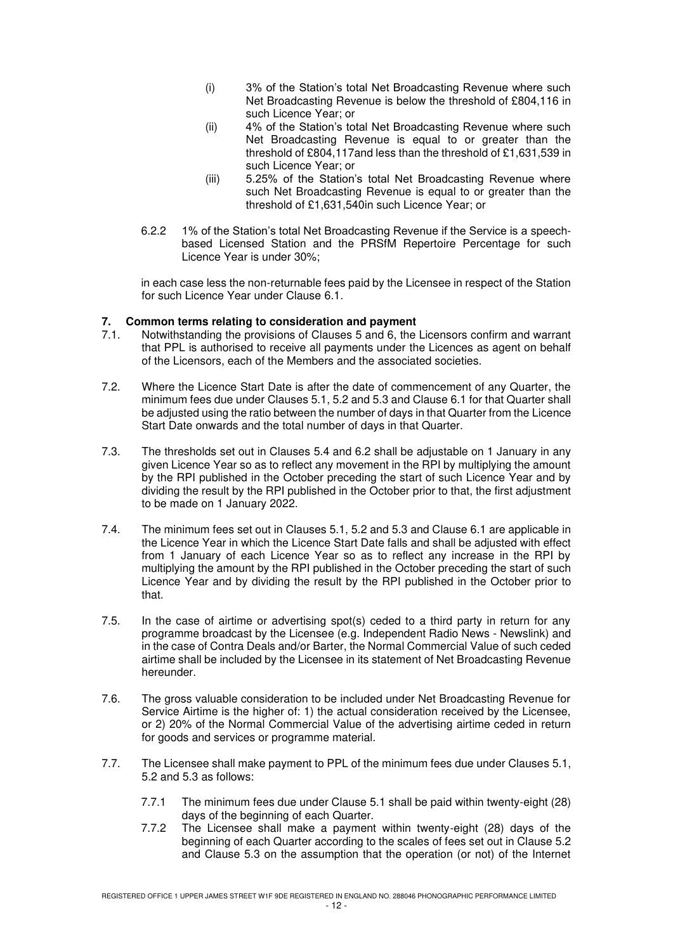- (i) 3% of the Station's total Net Broadcasting Revenue where such Net Broadcasting Revenue is below the threshold of £804,116 in such Licence Year; or
- (ii) 4% of the Station's total Net Broadcasting Revenue where such Net Broadcasting Revenue is equal to or greater than the threshold of £804,117and less than the threshold of £1,631,539 in such Licence Year; or
- (iii) 5.25% of the Station's total Net Broadcasting Revenue where such Net Broadcasting Revenue is equal to or greater than the threshold of £1,631,540in such Licence Year; or
- 6.2.2 1% of the Station's total Net Broadcasting Revenue if the Service is a speechbased Licensed Station and the PRSfM Repertoire Percentage for such Licence Year is under 30%;

in each case less the non-returnable fees paid by the Licensee in respect of the Station for such Licence Year under Clause 6.1.

# **7. Common terms relating to consideration and payment**<br>**7.1** Notwithstanding the provisions of Clauses 5 and 6 the

- Notwithstanding the provisions of Clauses 5 and 6, the Licensors confirm and warrant that PPL is authorised to receive all payments under the Licences as agent on behalf of the Licensors, each of the Members and the associated societies.
- 7.2. Where the Licence Start Date is after the date of commencement of any Quarter, the minimum fees due under Clauses 5.1, 5.2 and 5.3 and Clause 6.1 for that Quarter shall be adjusted using the ratio between the number of days in that Quarter from the Licence Start Date onwards and the total number of days in that Quarter.
- 7.3. The thresholds set out in Clauses 5.4 and 6.2 shall be adjustable on 1 January in any given Licence Year so as to reflect any movement in the RPI by multiplying the amount by the RPI published in the October preceding the start of such Licence Year and by dividing the result by the RPI published in the October prior to that, the first adjustment to be made on 1 January 2022.
- 7.4. The minimum fees set out in Clauses 5.1, 5.2 and 5.3 and Clause 6.1 are applicable in the Licence Year in which the Licence Start Date falls and shall be adjusted with effect from 1 January of each Licence Year so as to reflect any increase in the RPI by multiplying the amount by the RPI published in the October preceding the start of such Licence Year and by dividing the result by the RPI published in the October prior to that.
- 7.5. In the case of airtime or advertising spot(s) ceded to a third party in return for any programme broadcast by the Licensee (e.g. Independent Radio News - Newslink) and in the case of Contra Deals and/or Barter, the Normal Commercial Value of such ceded airtime shall be included by the Licensee in its statement of Net Broadcasting Revenue hereunder.
- 7.6. The gross valuable consideration to be included under Net Broadcasting Revenue for Service Airtime is the higher of: 1) the actual consideration received by the Licensee, or 2) 20% of the Normal Commercial Value of the advertising airtime ceded in return for goods and services or programme material.
- 7.7. The Licensee shall make payment to PPL of the minimum fees due under Clauses 5.1, 5.2 and 5.3 as follows:
	- 7.7.1 The minimum fees due under Clause 5.1 shall be paid within twenty-eight (28) days of the beginning of each Quarter.
	- 7.7.2 The Licensee shall make a payment within twenty-eight (28) days of the beginning of each Quarter according to the scales of fees set out in Clause 5.2 and Clause 5.3 on the assumption that the operation (or not) of the Internet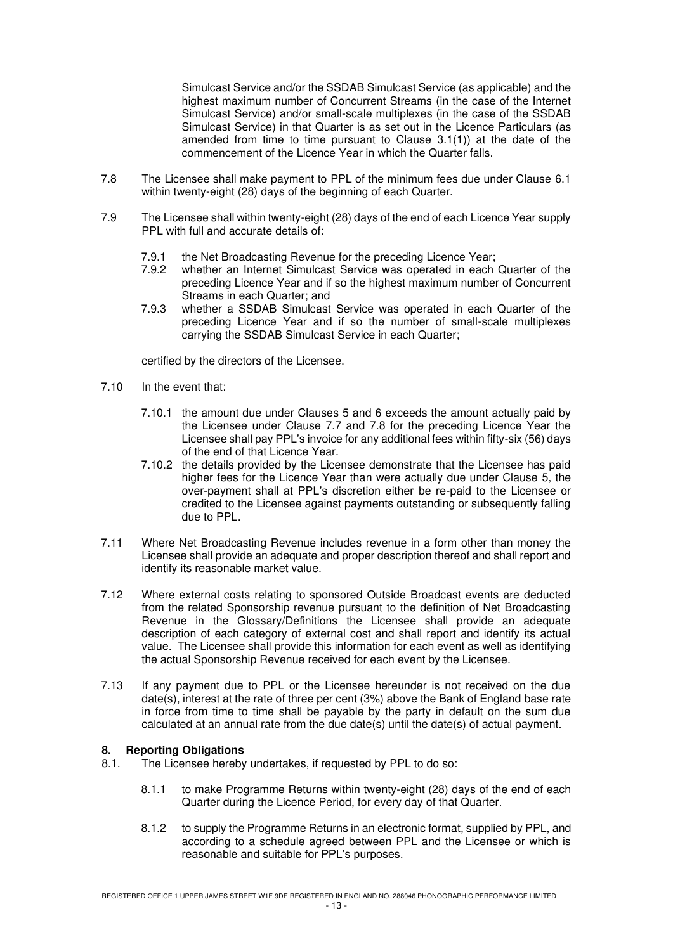Simulcast Service and/or the SSDAB Simulcast Service (as applicable) and the highest maximum number of Concurrent Streams (in the case of the Internet Simulcast Service) and/or small-scale multiplexes (in the case of the SSDAB Simulcast Service) in that Quarter is as set out in the Licence Particulars (as amended from time to time pursuant to Clause 3.1(1)) at the date of the commencement of the Licence Year in which the Quarter falls.

- 7.8 The Licensee shall make payment to PPL of the minimum fees due under Clause 6.1 within twenty-eight (28) days of the beginning of each Quarter.
- 7.9 The Licensee shall within twenty-eight (28) days of the end of each Licence Year supply PPL with full and accurate details of:
	- 7.9.1 the Net Broadcasting Revenue for the preceding Licence Year;<br>7.9.2 whether an Internet Simulcast Service was operated in each
	- 7.9.2 whether an Internet Simulcast Service was operated in each Quarter of the preceding Licence Year and if so the highest maximum number of Concurrent Streams in each Quarter; and
	- 7.9.3 whether a SSDAB Simulcast Service was operated in each Quarter of the preceding Licence Year and if so the number of small-scale multiplexes carrying the SSDAB Simulcast Service in each Quarter;

certified by the directors of the Licensee.

- 7.10 In the event that:
	- 7.10.1 the amount due under Clauses 5 and 6 exceeds the amount actually paid by the Licensee under Clause 7.7 and 7.8 for the preceding Licence Year the Licensee shall pay PPL's invoice for any additional fees within fifty-six (56) days of the end of that Licence Year.
	- 7.10.2 the details provided by the Licensee demonstrate that the Licensee has paid higher fees for the Licence Year than were actually due under Clause 5, the over-payment shall at PPL's discretion either be re-paid to the Licensee or credited to the Licensee against payments outstanding or subsequently falling due to PPL.
- 7.11 Where Net Broadcasting Revenue includes revenue in a form other than money the Licensee shall provide an adequate and proper description thereof and shall report and identify its reasonable market value.
- 7.12 Where external costs relating to sponsored Outside Broadcast events are deducted from the related Sponsorship revenue pursuant to the definition of Net Broadcasting Revenue in the Glossary/Definitions the Licensee shall provide an adequate description of each category of external cost and shall report and identify its actual value. The Licensee shall provide this information for each event as well as identifying the actual Sponsorship Revenue received for each event by the Licensee.
- 7.13 If any payment due to PPL or the Licensee hereunder is not received on the due date(s), interest at the rate of three per cent (3%) above the Bank of England base rate in force from time to time shall be payable by the party in default on the sum due calculated at an annual rate from the due date(s) until the date(s) of actual payment.

### **8. Reporting Obligations**

- 8.1. The Licensee hereby undertakes, if requested by PPL to do so:
	- 8.1.1 to make Programme Returns within twenty-eight (28) days of the end of each Quarter during the Licence Period, for every day of that Quarter.
	- 8.1.2 to supply the Programme Returns in an electronic format, supplied by PPL, and according to a schedule agreed between PPL and the Licensee or which is reasonable and suitable for PPL's purposes.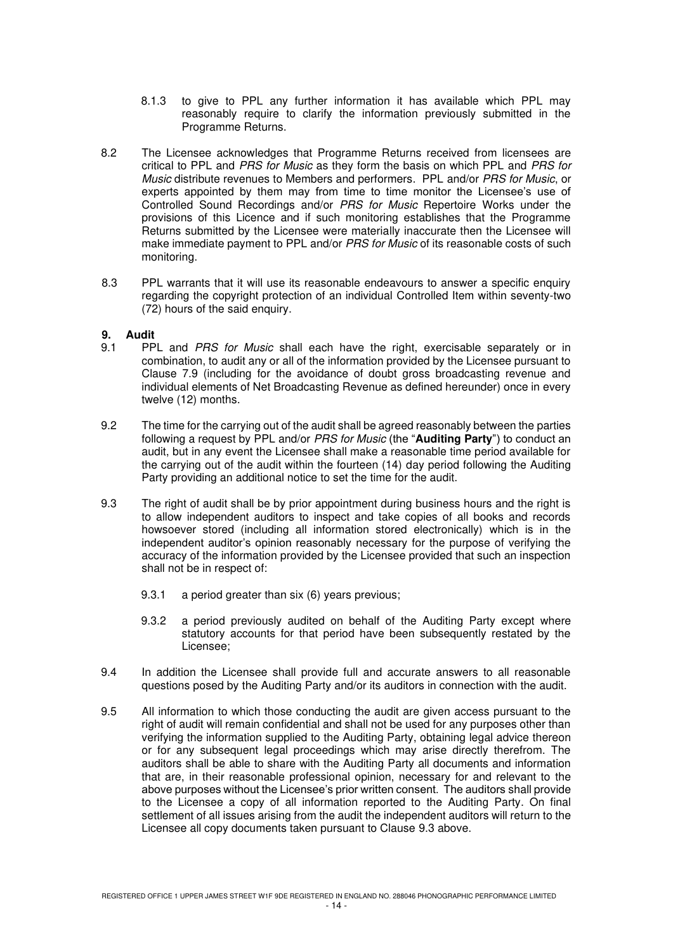- 8.1.3 to give to PPL any further information it has available which PPL may reasonably require to clarify the information previously submitted in the Programme Returns.
- 8.2 The Licensee acknowledges that Programme Returns received from licensees are critical to PPL and PRS for Music as they form the basis on which PPL and PRS for Music distribute revenues to Members and performers. PPL and/or PRS for Music, or experts appointed by them may from time to time monitor the Licensee's use of Controlled Sound Recordings and/or PRS for Music Repertoire Works under the provisions of this Licence and if such monitoring establishes that the Programme Returns submitted by the Licensee were materially inaccurate then the Licensee will make immediate payment to PPL and/or *PRS for Music* of its reasonable costs of such monitoring.
- 8.3 PPL warrants that it will use its reasonable endeavours to answer a specific enquiry regarding the copyright protection of an individual Controlled Item within seventy-two (72) hours of the said enquiry.

# **9. Audit**

- PPL and PRS for Music shall each have the right, exercisable separately or in combination, to audit any or all of the information provided by the Licensee pursuant to Clause 7.9 (including for the avoidance of doubt gross broadcasting revenue and individual elements of Net Broadcasting Revenue as defined hereunder) once in every twelve (12) months.
- 9.2 The time for the carrying out of the audit shall be agreed reasonably between the parties following a request by PPL and/or PRS for Music (the "**Auditing Party**") to conduct an audit, but in any event the Licensee shall make a reasonable time period available for the carrying out of the audit within the fourteen (14) day period following the Auditing Party providing an additional notice to set the time for the audit.
- 9.3 The right of audit shall be by prior appointment during business hours and the right is to allow independent auditors to inspect and take copies of all books and records howsoever stored (including all information stored electronically) which is in the independent auditor's opinion reasonably necessary for the purpose of verifying the accuracy of the information provided by the Licensee provided that such an inspection shall not be in respect of:
	- 9.3.1 a period greater than six (6) years previous;
	- 9.3.2 a period previously audited on behalf of the Auditing Party except where statutory accounts for that period have been subsequently restated by the Licensee;
- 9.4 In addition the Licensee shall provide full and accurate answers to all reasonable questions posed by the Auditing Party and/or its auditors in connection with the audit.
- 9.5 All information to which those conducting the audit are given access pursuant to the right of audit will remain confidential and shall not be used for any purposes other than verifying the information supplied to the Auditing Party, obtaining legal advice thereon or for any subsequent legal proceedings which may arise directly therefrom. The auditors shall be able to share with the Auditing Party all documents and information that are, in their reasonable professional opinion, necessary for and relevant to the above purposes without the Licensee's prior written consent. The auditors shall provide to the Licensee a copy of all information reported to the Auditing Party. On final settlement of all issues arising from the audit the independent auditors will return to the Licensee all copy documents taken pursuant to Clause 9.3 above.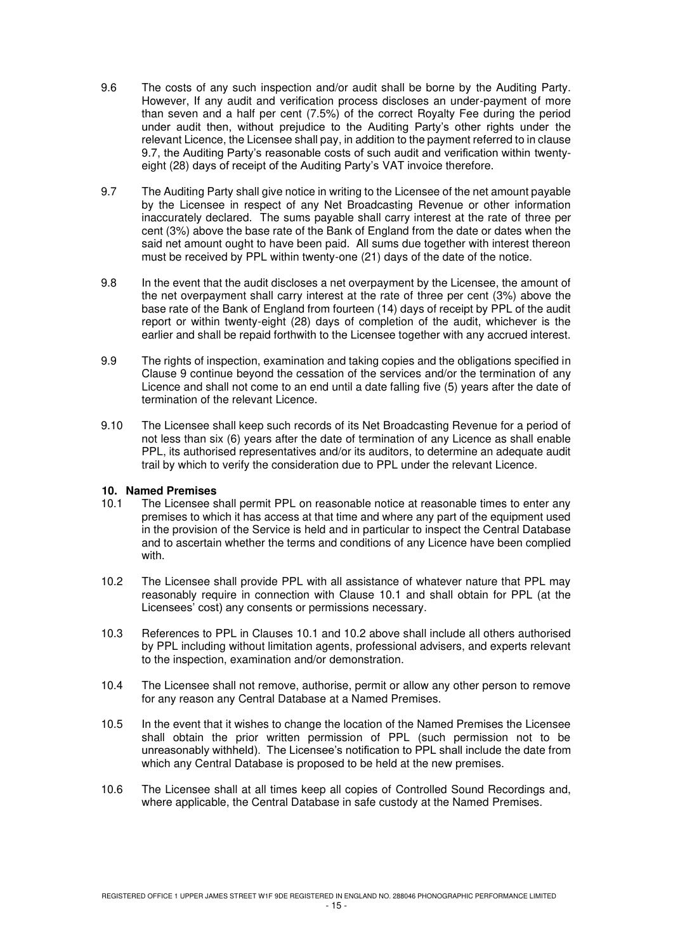- 9.6 The costs of any such inspection and/or audit shall be borne by the Auditing Party. However, If any audit and verification process discloses an under-payment of more than seven and a half per cent (7.5%) of the correct Royalty Fee during the period under audit then, without prejudice to the Auditing Party's other rights under the relevant Licence, the Licensee shall pay, in addition to the payment referred to in clause 9.7, the Auditing Party's reasonable costs of such audit and verification within twentyeight (28) days of receipt of the Auditing Party's VAT invoice therefore.
- 9.7 The Auditing Party shall give notice in writing to the Licensee of the net amount payable by the Licensee in respect of any Net Broadcasting Revenue or other information inaccurately declared. The sums payable shall carry interest at the rate of three per cent (3%) above the base rate of the Bank of England from the date or dates when the said net amount ought to have been paid. All sums due together with interest thereon must be received by PPL within twenty-one (21) days of the date of the notice.
- 9.8 In the event that the audit discloses a net overpayment by the Licensee, the amount of the net overpayment shall carry interest at the rate of three per cent (3%) above the base rate of the Bank of England from fourteen (14) days of receipt by PPL of the audit report or within twenty-eight (28) days of completion of the audit, whichever is the earlier and shall be repaid forthwith to the Licensee together with any accrued interest.
- 9.9 The rights of inspection, examination and taking copies and the obligations specified in Clause 9 continue beyond the cessation of the services and/or the termination of any Licence and shall not come to an end until a date falling five (5) years after the date of termination of the relevant Licence.
- 9.10 The Licensee shall keep such records of its Net Broadcasting Revenue for a period of not less than six (6) years after the date of termination of any Licence as shall enable PPL, its authorised representatives and/or its auditors, to determine an adequate audit trail by which to verify the consideration due to PPL under the relevant Licence.

# **10. Named Premises**

- The Licensee shall permit PPL on reasonable notice at reasonable times to enter any premises to which it has access at that time and where any part of the equipment used in the provision of the Service is held and in particular to inspect the Central Database and to ascertain whether the terms and conditions of any Licence have been complied with.
- 10.2 The Licensee shall provide PPL with all assistance of whatever nature that PPL may reasonably require in connection with Clause 10.1 and shall obtain for PPL (at the Licensees' cost) any consents or permissions necessary.
- 10.3 References to PPL in Clauses 10.1 and 10.2 above shall include all others authorised by PPL including without limitation agents, professional advisers, and experts relevant to the inspection, examination and/or demonstration.
- 10.4 The Licensee shall not remove, authorise, permit or allow any other person to remove for any reason any Central Database at a Named Premises.
- 10.5 In the event that it wishes to change the location of the Named Premises the Licensee shall obtain the prior written permission of PPL (such permission not to be unreasonably withheld). The Licensee's notification to PPL shall include the date from which any Central Database is proposed to be held at the new premises.
- 10.6 The Licensee shall at all times keep all copies of Controlled Sound Recordings and, where applicable, the Central Database in safe custody at the Named Premises.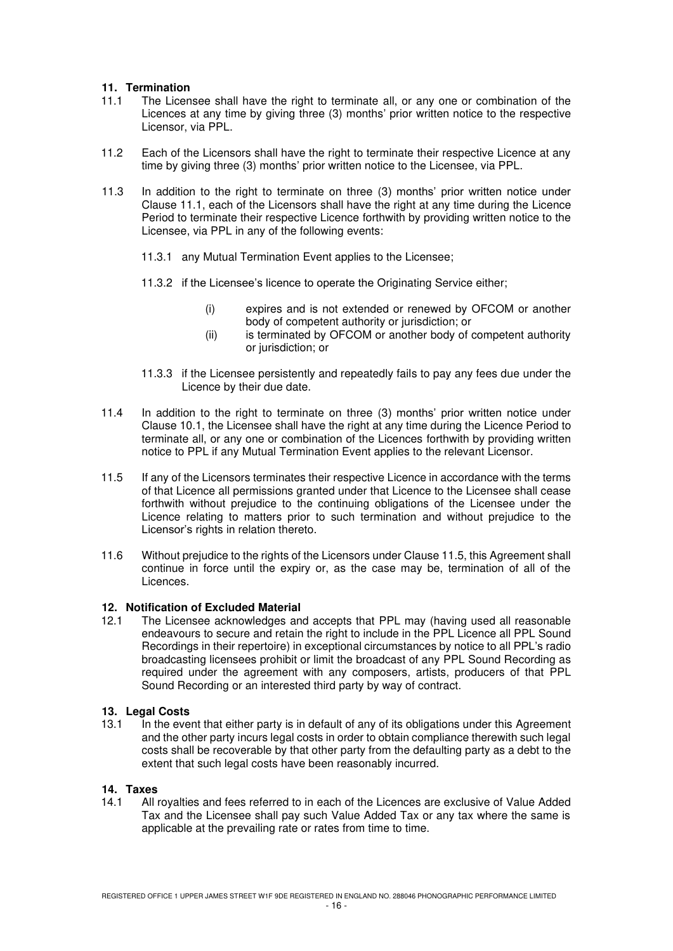# **11. Termination**

- 11.1 The Licensee shall have the right to terminate all, or any one or combination of the Licences at any time by giving three (3) months' prior written notice to the respective Licensor, via PPL.
- 11.2 Each of the Licensors shall have the right to terminate their respective Licence at any time by giving three (3) months' prior written notice to the Licensee, via PPL.
- 11.3 In addition to the right to terminate on three (3) months' prior written notice under Clause 11.1, each of the Licensors shall have the right at any time during the Licence Period to terminate their respective Licence forthwith by providing written notice to the Licensee, via PPL in any of the following events:
	- 11.3.1 any Mutual Termination Event applies to the Licensee;
	- 11.3.2 if the Licensee's licence to operate the Originating Service either;
		- (i) expires and is not extended or renewed by OFCOM or another body of competent authority or jurisdiction; or
		- (ii) is terminated by OFCOM or another body of competent authority or jurisdiction; or
	- 11.3.3 if the Licensee persistently and repeatedly fails to pay any fees due under the Licence by their due date.
- 11.4 In addition to the right to terminate on three (3) months' prior written notice under Clause 10.1, the Licensee shall have the right at any time during the Licence Period to terminate all, or any one or combination of the Licences forthwith by providing written notice to PPL if any Mutual Termination Event applies to the relevant Licensor.
- 11.5 If any of the Licensors terminates their respective Licence in accordance with the terms of that Licence all permissions granted under that Licence to the Licensee shall cease forthwith without prejudice to the continuing obligations of the Licensee under the Licence relating to matters prior to such termination and without prejudice to the Licensor's rights in relation thereto.
- 11.6 Without prejudice to the rights of the Licensors under Clause 11.5, this Agreement shall continue in force until the expiry or, as the case may be, termination of all of the Licences.

### **12. Notification of Excluded Material**

12.1 The Licensee acknowledges and accepts that PPL may (having used all reasonable endeavours to secure and retain the right to include in the PPL Licence all PPL Sound Recordings in their repertoire) in exceptional circumstances by notice to all PPL's radio broadcasting licensees prohibit or limit the broadcast of any PPL Sound Recording as required under the agreement with any composers, artists, producers of that PPL Sound Recording or an interested third party by way of contract.

### **13. Legal Costs**

13.1 In the event that either party is in default of any of its obligations under this Agreement and the other party incurs legal costs in order to obtain compliance therewith such legal costs shall be recoverable by that other party from the defaulting party as a debt to the extent that such legal costs have been reasonably incurred.

# **14. Taxes**

14.1 All royalties and fees referred to in each of the Licences are exclusive of Value Added Tax and the Licensee shall pay such Value Added Tax or any tax where the same is applicable at the prevailing rate or rates from time to time.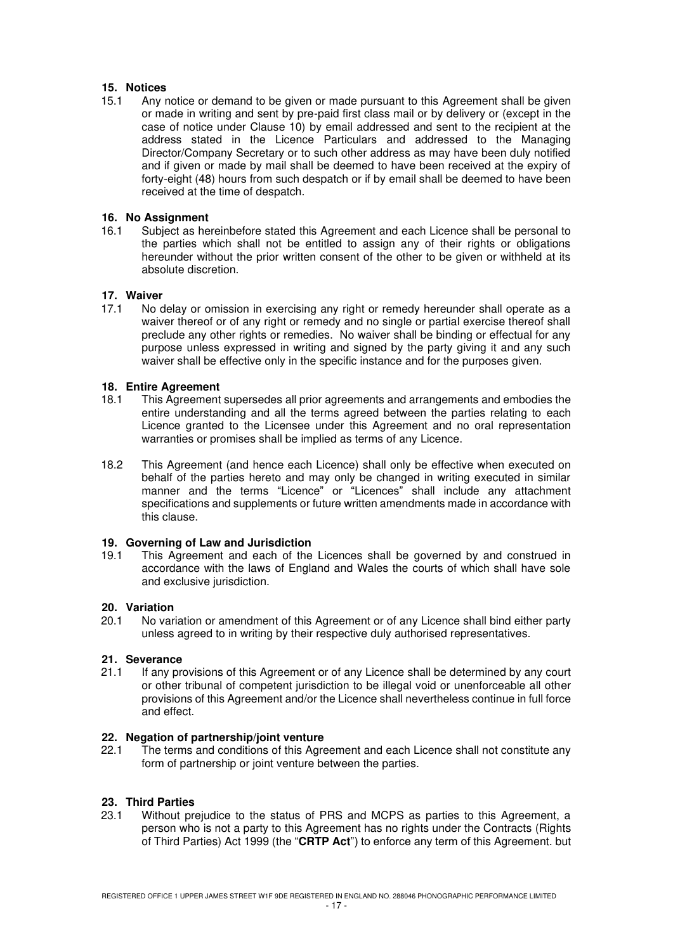# **15. Notices**

15.1 Any notice or demand to be given or made pursuant to this Agreement shall be given or made in writing and sent by pre-paid first class mail or by delivery or (except in the case of notice under Clause 10) by email addressed and sent to the recipient at the address stated in the Licence Particulars and addressed to the Managing Director/Company Secretary or to such other address as may have been duly notified and if given or made by mail shall be deemed to have been received at the expiry of forty-eight (48) hours from such despatch or if by email shall be deemed to have been received at the time of despatch.

# **16. No Assignment**

16.1 Subject as hereinbefore stated this Agreement and each Licence shall be personal to the parties which shall not be entitled to assign any of their rights or obligations hereunder without the prior written consent of the other to be given or withheld at its absolute discretion.

# **17. Waiver**<br>17.1 No.6

No delay or omission in exercising any right or remedy hereunder shall operate as a waiver thereof or of any right or remedy and no single or partial exercise thereof shall preclude any other rights or remedies. No waiver shall be binding or effectual for any purpose unless expressed in writing and signed by the party giving it and any such waiver shall be effective only in the specific instance and for the purposes given.

# **18. Entire Agreement**

- 18.1 This Agreement supersedes all prior agreements and arrangements and embodies the entire understanding and all the terms agreed between the parties relating to each Licence granted to the Licensee under this Agreement and no oral representation warranties or promises shall be implied as terms of any Licence.
- 18.2 This Agreement (and hence each Licence) shall only be effective when executed on behalf of the parties hereto and may only be changed in writing executed in similar manner and the terms "Licence" or "Licences" shall include any attachment specifications and supplements or future written amendments made in accordance with this clause.

### **19. Governing of Law and Jurisdiction**

19.1 This Agreement and each of the Licences shall be governed by and construed in accordance with the laws of England and Wales the courts of which shall have sole and exclusive jurisdiction.

### **20. Variation**

20.1 No variation or amendment of this Agreement or of any Licence shall bind either party unless agreed to in writing by their respective duly authorised representatives.

### **21. Severance**

21.1 If any provisions of this Agreement or of any Licence shall be determined by any court or other tribunal of competent jurisdiction to be illegal void or unenforceable all other provisions of this Agreement and/or the Licence shall nevertheless continue in full force and effect.

### **22. Negation of partnership/joint venture**

22.1 The terms and conditions of this Agreement and each Licence shall not constitute any form of partnership or joint venture between the parties.

### **23. Third Parties**

23.1 Without prejudice to the status of PRS and MCPS as parties to this Agreement, a person who is not a party to this Agreement has no rights under the Contracts (Rights of Third Parties) Act 1999 (the "**CRTP Act**") to enforce any term of this Agreement. but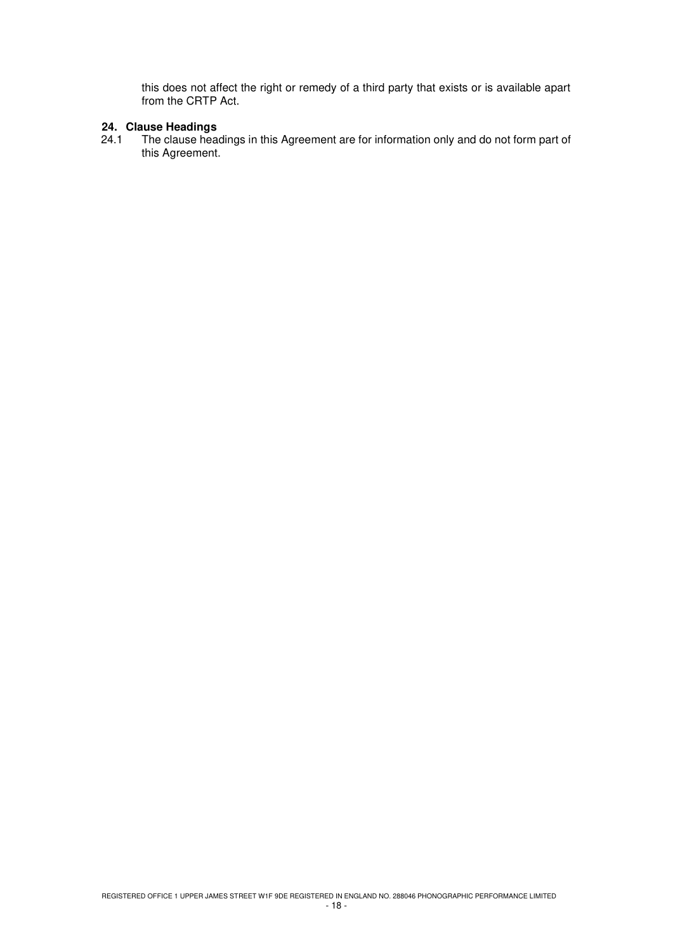this does not affect the right or remedy of a third party that exists or is available apart from the CRTP Act.

# **24. Clause Headings**

The clause headings in this Agreement are for information only and do not form part of this Agreement.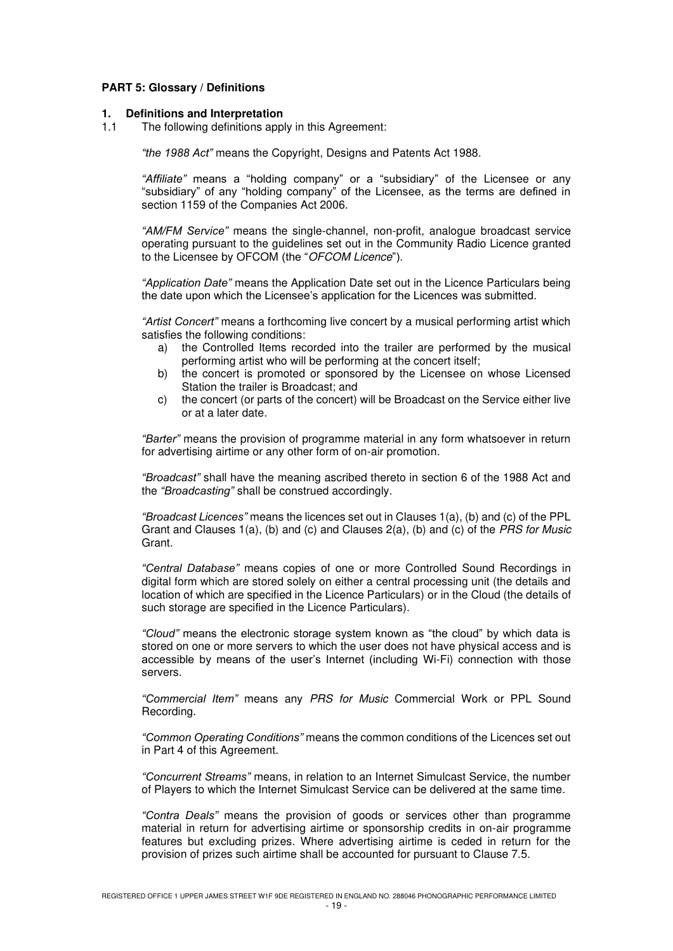# **PART 5: Glossary / Definitions**

#### **1. Definitions and Interpretation**

1.1 The following definitions apply in this Agreement:

*"the 1988 Act"* means the Copyright, Designs and Patents Act 1988.

*"Affiliate"* means a "holding company" or a "subsidiary" of the Licensee or any "subsidiary" of any "holding company" of the Licensee, as the terms are defined in section 1159 of the Companies Act 2006.

*"AM/FM Service"* means the single-channel, non-profit, analogue broadcast service operating pursuant to the guidelines set out in the Community Radio Licence granted to the Licensee by OFCOM (the "OFCOM Licence").

*"Application Date"* means the Application Date set out in the Licence Particulars being the date upon which the Licensee's application for the Licences was submitted.

*"Artist Concert"* means a forthcoming live concert by a musical performing artist which satisfies the following conditions:

- a) the Controlled Items recorded into the trailer are performed by the musical performing artist who will be performing at the concert itself;
- b) the concert is promoted or sponsored by the Licensee on whose Licensed Station the trailer is Broadcast; and
- c) the concert (or parts of the concert) will be Broadcast on the Service either live or at a later date.

*"Barter"* means the provision of programme material in any form whatsoever in return for advertising airtime or any other form of on-air promotion.

*"Broadcast"* shall have the meaning ascribed thereto in section 6 of the 1988 Act and the *"Broadcasting"* shall be construed accordingly.

*"Broadcast Licences"* means the licences set out in Clauses 1(a), (b) and (c) of the PPL Grant and Clauses  $1(a)$ , (b) and (c) and Clauses  $2(a)$ , (b) and (c) of the *PRS for Music* Grant.

*"Central Database"* means copies of one or more Controlled Sound Recordings in digital form which are stored solely on either a central processing unit (the details and location of which are specified in the Licence Particulars) or in the Cloud (the details of such storage are specified in the Licence Particulars).

*"Cloud"* means the electronic storage system known as "the cloud" by which data is stored on one or more servers to which the user does not have physical access and is accessible by means of the user's Internet (including Wi-Fi) connection with those servers.

*"Commercial Item"* means any PRS for Music Commercial Work or PPL Sound Recording.

*"Common Operating Conditions"* means the common conditions of the Licences set out in Part 4 of this Agreement.

*"Concurrent Streams"* means, in relation to an Internet Simulcast Service, the number of Players to which the Internet Simulcast Service can be delivered at the same time.

*"Contra Deals"* means the provision of goods or services other than programme material in return for advertising airtime or sponsorship credits in on-air programme features but excluding prizes. Where advertising airtime is ceded in return for the provision of prizes such airtime shall be accounted for pursuant to Clause 7.5.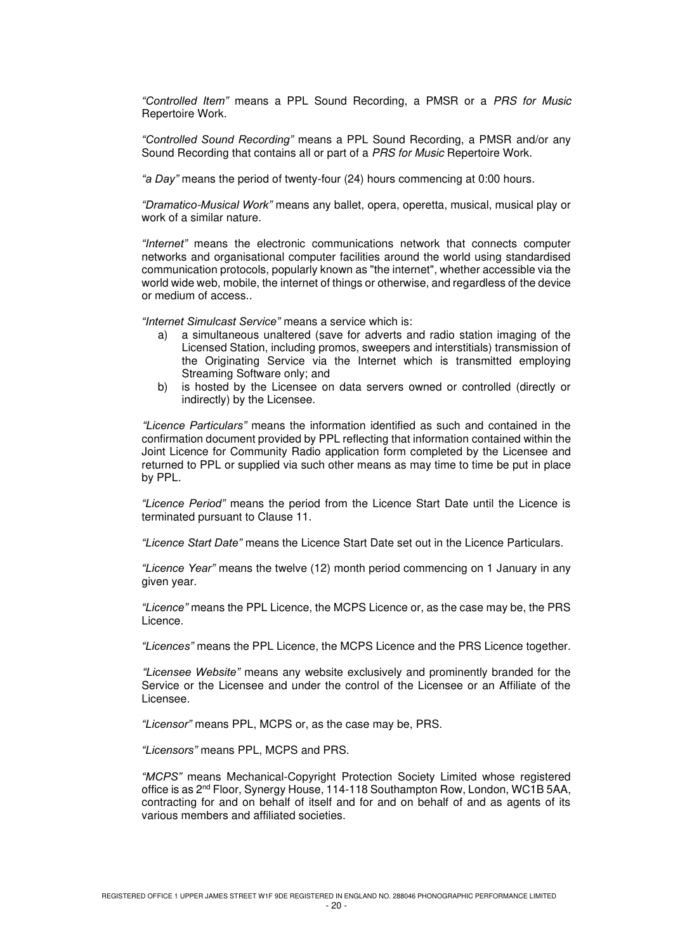*"Controlled Item"* means a PPL Sound Recording, a PMSR or a PRS for Music Repertoire Work.

*"Controlled Sound Recording"* means a PPL Sound Recording, a PMSR and/or any Sound Recording that contains all or part of a PRS for Music Repertoire Work.

*"a Day"* means the period of twenty-four (24) hours commencing at 0:00 hours.

*"Dramatico*-*Musical Work"* means any ballet, opera, operetta, musical, musical play or work of a similar nature.

*"Internet"* means the electronic communications network that connects computer networks and organisational computer facilities around the world using standardised communication protocols, popularly known as "the internet", whether accessible via the world wide web, mobile, the internet of things or otherwise, and regardless of the device or medium of access..

*"Internet Simulcast Service"* means a service which is:

- a) a simultaneous unaltered (save for adverts and radio station imaging of the Licensed Station, including promos, sweepers and interstitials) transmission of the Originating Service via the Internet which is transmitted employing Streaming Software only; and
- b) is hosted by the Licensee on data servers owned or controlled (directly or indirectly) by the Licensee.

*"Licence Particulars"* means the information identified as such and contained in the confirmation document provided by PPL reflecting that information contained within the Joint Licence for Community Radio application form completed by the Licensee and returned to PPL or supplied via such other means as may time to time be put in place by PPL.

*"Licence Period"* means the period from the Licence Start Date until the Licence is terminated pursuant to Clause 11.

*"Licence Start Date"* means the Licence Start Date set out in the Licence Particulars.

*"Licence Year"* means the twelve (12) month period commencing on 1 January in any given year.

*"Licence"* means the PPL Licence, the MCPS Licence or, as the case may be, the PRS Licence.

*"Licences"* means the PPL Licence, the MCPS Licence and the PRS Licence together.

*"Licensee Website"* means any website exclusively and prominently branded for the Service or the Licensee and under the control of the Licensee or an Affiliate of the Licensee.

*"Licensor"* means PPL, MCPS or, as the case may be, PRS.

*"Licensors"* means PPL, MCPS and PRS.

*"MCPS"* means Mechanical-Copyright Protection Society Limited whose registered office is as 2nd Floor, Synergy House, 114-118 Southampton Row, London, WC1B 5AA, contracting for and on behalf of itself and for and on behalf of and as agents of its various members and affiliated societies.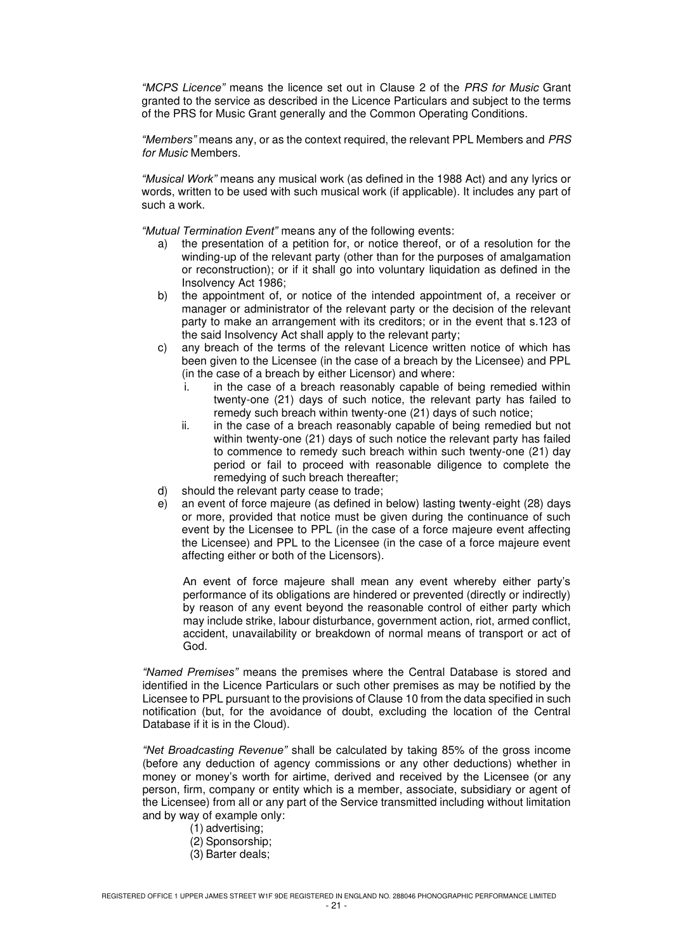*"MCPS Licence"* means the licence set out in Clause 2 of the PRS for Music Grant granted to the service as described in the Licence Particulars and subject to the terms of the PRS for Music Grant generally and the Common Operating Conditions.

*"Members"* means any, or as the context required, the relevant PPL Members and PRS for Music Members.

*"Musical Work"* means any musical work (as defined in the 1988 Act) and any lyrics or words, written to be used with such musical work (if applicable). It includes any part of such a work.

*"Mutual Termination Event"* means any of the following events:

- a) the presentation of a petition for, or notice thereof, or of a resolution for the winding-up of the relevant party (other than for the purposes of amalgamation or reconstruction); or if it shall go into voluntary liquidation as defined in the Insolvency Act 1986;
- b) the appointment of, or notice of the intended appointment of, a receiver or manager or administrator of the relevant party or the decision of the relevant party to make an arrangement with its creditors; or in the event that s.123 of the said Insolvency Act shall apply to the relevant party;
- c) any breach of the terms of the relevant Licence written notice of which has been given to the Licensee (in the case of a breach by the Licensee) and PPL (in the case of a breach by either Licensor) and where:
	- i. in the case of a breach reasonably capable of being remedied within twenty-one (21) days of such notice, the relevant party has failed to remedy such breach within twenty-one (21) days of such notice;
	- ii. in the case of a breach reasonably capable of being remedied but not within twenty-one (21) days of such notice the relevant party has failed to commence to remedy such breach within such twenty-one (21) day period or fail to proceed with reasonable diligence to complete the remedying of such breach thereafter;
- d) should the relevant party cease to trade;
- e) an event of force majeure (as defined in below) lasting twenty-eight (28) days or more, provided that notice must be given during the continuance of such event by the Licensee to PPL (in the case of a force majeure event affecting the Licensee) and PPL to the Licensee (in the case of a force majeure event affecting either or both of the Licensors).

An event of force majeure shall mean any event whereby either party's performance of its obligations are hindered or prevented (directly or indirectly) by reason of any event beyond the reasonable control of either party which may include strike, labour disturbance, government action, riot, armed conflict, accident, unavailability or breakdown of normal means of transport or act of God.

*"Named Premises"* means the premises where the Central Database is stored and identified in the Licence Particulars or such other premises as may be notified by the Licensee to PPL pursuant to the provisions of Clause 10 from the data specified in such notification (but, for the avoidance of doubt, excluding the location of the Central Database if it is in the Cloud).

*"Net Broadcasting Revenue"* shall be calculated by taking 85% of the gross income (before any deduction of agency commissions or any other deductions) whether in money or money's worth for airtime, derived and received by the Licensee (or any person, firm, company or entity which is a member, associate, subsidiary or agent of the Licensee) from all or any part of the Service transmitted including without limitation and by way of example only:

- (1) advertising;
- (2) Sponsorship;
- (3) Barter deals;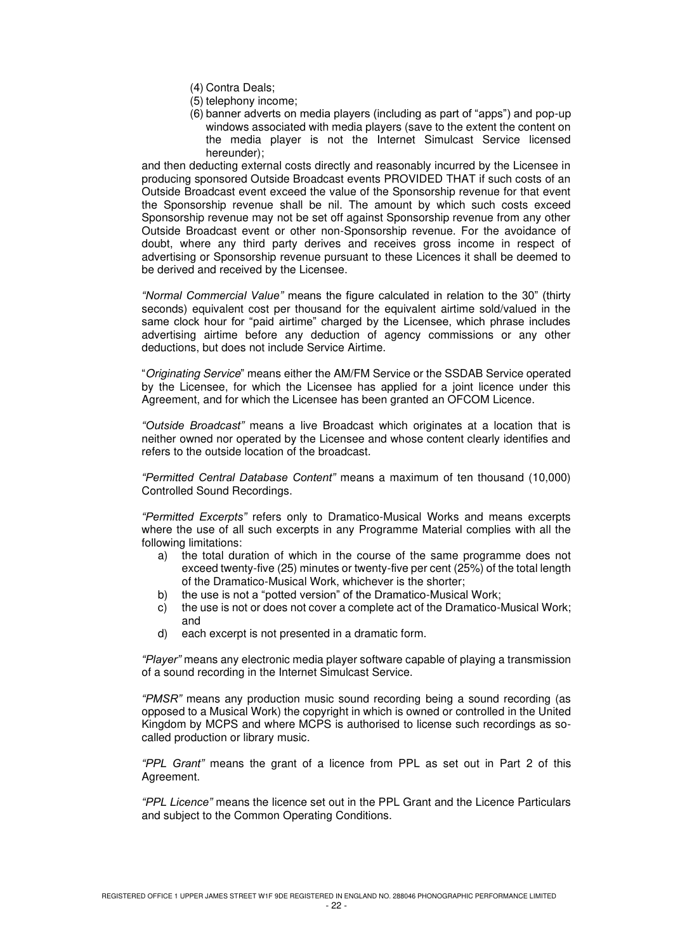- (4) Contra Deals;
- (5) telephony income;
- (6) banner adverts on media players (including as part of "apps") and pop-up windows associated with media players (save to the extent the content on the media player is not the Internet Simulcast Service licensed hereunder);

and then deducting external costs directly and reasonably incurred by the Licensee in producing sponsored Outside Broadcast events PROVIDED THAT if such costs of an Outside Broadcast event exceed the value of the Sponsorship revenue for that event the Sponsorship revenue shall be nil. The amount by which such costs exceed Sponsorship revenue may not be set off against Sponsorship revenue from any other Outside Broadcast event or other non-Sponsorship revenue. For the avoidance of doubt, where any third party derives and receives gross income in respect of advertising or Sponsorship revenue pursuant to these Licences it shall be deemed to be derived and received by the Licensee.

*"Normal Commercial Value"* means the figure calculated in relation to the 30" (thirty seconds) equivalent cost per thousand for the equivalent airtime sold/valued in the same clock hour for "paid airtime" charged by the Licensee, which phrase includes advertising airtime before any deduction of agency commissions or any other deductions, but does not include Service Airtime.

"Originating Service" means either the AM/FM Service or the SSDAB Service operated by the Licensee, for which the Licensee has applied for a joint licence under this Agreement, and for which the Licensee has been granted an OFCOM Licence.

*"Outside Broadcast"* means a live Broadcast which originates at a location that is neither owned nor operated by the Licensee and whose content clearly identifies and refers to the outside location of the broadcast.

*"Permitted Central Database Content"* means a maximum of ten thousand (10,000) Controlled Sound Recordings.

*"Permitted Excerpts"* refers only to Dramatico-Musical Works and means excerpts where the use of all such excerpts in any Programme Material complies with all the following limitations:

- a) the total duration of which in the course of the same programme does not exceed twenty-five (25) minutes or twenty-five per cent (25%) of the total length of the Dramatico-Musical Work, whichever is the shorter;
- b) the use is not a "potted version" of the Dramatico-Musical Work;
- c) the use is not or does not cover a complete act of the Dramatico-Musical Work; and
- d) each excerpt is not presented in a dramatic form.

*"Player"* means any electronic media player software capable of playing a transmission of a sound recording in the Internet Simulcast Service.

*"PMSR"* means any production music sound recording being a sound recording (as opposed to a Musical Work) the copyright in which is owned or controlled in the United Kingdom by MCPS and where MCPS is authorised to license such recordings as socalled production or library music.

*"PPL Grant"* means the grant of a licence from PPL as set out in Part 2 of this Agreement.

*"PPL Licence"* means the licence set out in the PPL Grant and the Licence Particulars and subject to the Common Operating Conditions.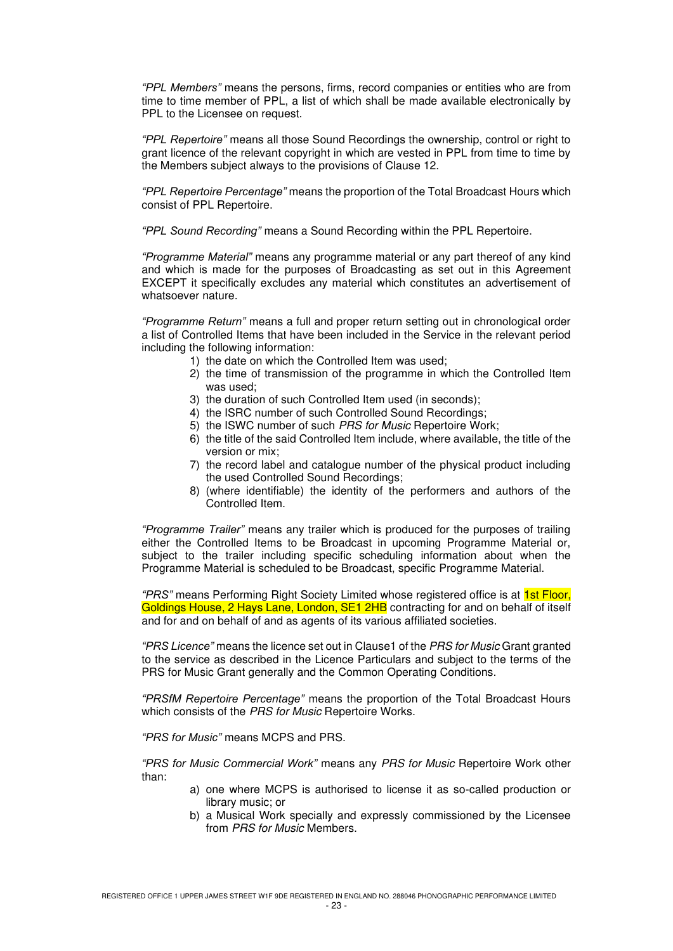*"PPL Members"* means the persons, firms, record companies or entities who are from time to time member of PPL, a list of which shall be made available electronically by PPL to the Licensee on request.

*"PPL Repertoire"* means all those Sound Recordings the ownership, control or right to grant licence of the relevant copyright in which are vested in PPL from time to time by the Members subject always to the provisions of Clause 12.

*"PPL Repertoire Percentage"* means the proportion of the Total Broadcast Hours which consist of PPL Repertoire.

*"PPL Sound Recording"* means a Sound Recording within the PPL Repertoire.

*"Programme Material"* means any programme material or any part thereof of any kind and which is made for the purposes of Broadcasting as set out in this Agreement EXCEPT it specifically excludes any material which constitutes an advertisement of whatsoever nature.

*"Programme Return"* means a full and proper return setting out in chronological order a list of Controlled Items that have been included in the Service in the relevant period including the following information:

- 1) the date on which the Controlled Item was used;
- 2) the time of transmission of the programme in which the Controlled Item was used;
- 3) the duration of such Controlled Item used (in seconds);
- 4) the ISRC number of such Controlled Sound Recordings;
- 5) the ISWC number of such PRS for Music Repertoire Work;
- 6) the title of the said Controlled Item include, where available, the title of the version or mix;
- 7) the record label and catalogue number of the physical product including the used Controlled Sound Recordings;
- 8) (where identifiable) the identity of the performers and authors of the Controlled Item.

*"Programme Trailer"* means any trailer which is produced for the purposes of trailing either the Controlled Items to be Broadcast in upcoming Programme Material or, subject to the trailer including specific scheduling information about when the Programme Material is scheduled to be Broadcast, specific Programme Material.

*"PRS"* means Performing Right Society Limited whose registered office is at 1st Floor, Goldings House, 2 Hays Lane, London, SE1 2HB contracting for and on behalf of itself and for and on behalf of and as agents of its various affiliated societies.

*"PRS Licence"* means the licence set out in Clause1 of the PRS for Music Grant granted to the service as described in the Licence Particulars and subject to the terms of the PRS for Music Grant generally and the Common Operating Conditions.

*"PRSfM Repertoire Percentage"* means the proportion of the Total Broadcast Hours which consists of the PRS for Music Repertoire Works.

*"PRS for Music"* means MCPS and PRS.

*"PRS for Music Commercial Work"* means any PRS for Music Repertoire Work other than:

- a) one where MCPS is authorised to license it as so-called production or library music; or
- b) a Musical Work specially and expressly commissioned by the Licensee from PRS for Music Members.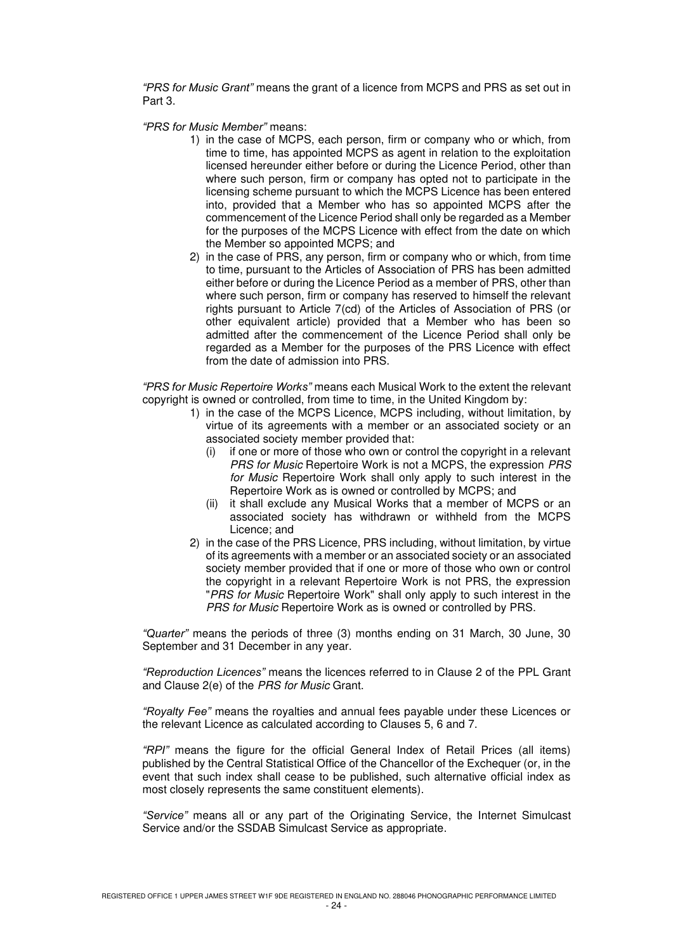*"PRS for Music Grant"* means the grant of a licence from MCPS and PRS as set out in Part 3.

*"PRS for Music Member"* means:

- 1) in the case of MCPS, each person, firm or company who or which, from time to time, has appointed MCPS as agent in relation to the exploitation licensed hereunder either before or during the Licence Period, other than where such person, firm or company has opted not to participate in the licensing scheme pursuant to which the MCPS Licence has been entered into, provided that a Member who has so appointed MCPS after the commencement of the Licence Period shall only be regarded as a Member for the purposes of the MCPS Licence with effect from the date on which the Member so appointed MCPS; and
- 2) in the case of PRS, any person, firm or company who or which, from time to time, pursuant to the Articles of Association of PRS has been admitted either before or during the Licence Period as a member of PRS, other than where such person, firm or company has reserved to himself the relevant rights pursuant to Article 7(cd) of the Articles of Association of PRS (or other equivalent article) provided that a Member who has been so admitted after the commencement of the Licence Period shall only be regarded as a Member for the purposes of the PRS Licence with effect from the date of admission into PRS.

*"PRS for Music Repertoire Works"* means each Musical Work to the extent the relevant copyright is owned or controlled, from time to time, in the United Kingdom by:

- 1) in the case of the MCPS Licence, MCPS including, without limitation, by virtue of its agreements with a member or an associated society or an associated society member provided that:
	- (i) if one or more of those who own or control the copyright in a relevant PRS for Music Repertoire Work is not a MCPS, the expression PRS for Music Repertoire Work shall only apply to such interest in the Repertoire Work as is owned or controlled by MCPS; and
	- (ii) it shall exclude any Musical Works that a member of MCPS or an associated society has withdrawn or withheld from the MCPS Licence; and
- 2) in the case of the PRS Licence, PRS including, without limitation, by virtue of its agreements with a member or an associated society or an associated society member provided that if one or more of those who own or control the copyright in a relevant Repertoire Work is not PRS, the expression "PRS for Music Repertoire Work" shall only apply to such interest in the PRS for Music Repertoire Work as is owned or controlled by PRS.

*"Quarter"* means the periods of three (3) months ending on 31 March, 30 June, 30 September and 31 December in any year.

*"Reproduction Licences"* means the licences referred to in Clause 2 of the PPL Grant and Clause 2(e) of the PRS for Music Grant.

*"Royalty Fee"* means the royalties and annual fees payable under these Licences or the relevant Licence as calculated according to Clauses 5, 6 and 7.

*"RPI"* means the figure for the official General Index of Retail Prices (all items) published by the Central Statistical Office of the Chancellor of the Exchequer (or, in the event that such index shall cease to be published, such alternative official index as most closely represents the same constituent elements).

*"Service"* means all or any part of the Originating Service, the Internet Simulcast Service and/or the SSDAB Simulcast Service as appropriate.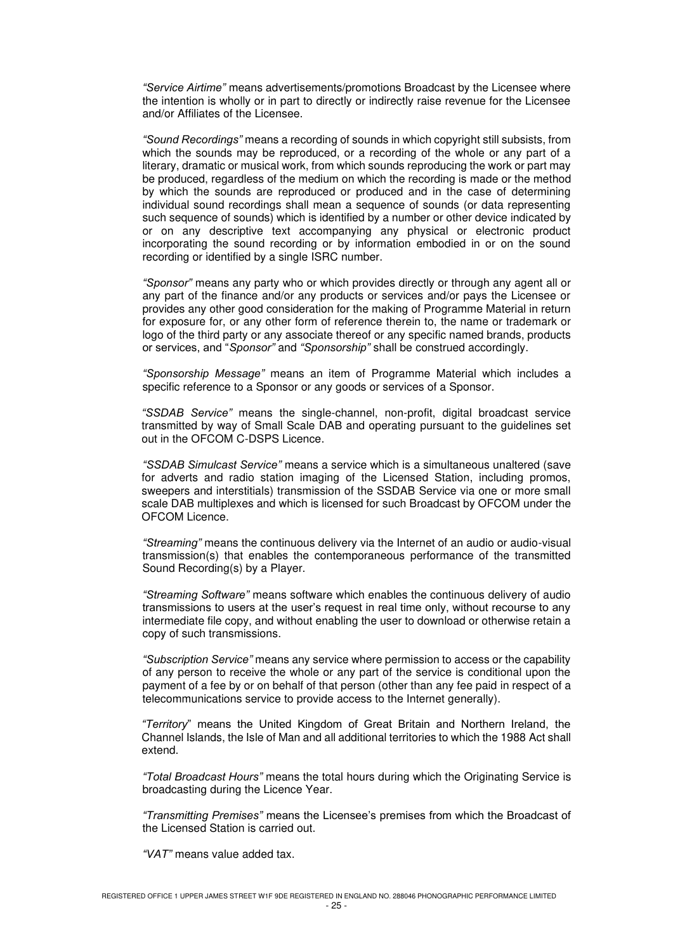*"Service Airtime"* means advertisements/promotions Broadcast by the Licensee where the intention is wholly or in part to directly or indirectly raise revenue for the Licensee and/or Affiliates of the Licensee.

*"Sound Recordings"* means a recording of sounds in which copyright still subsists, from which the sounds may be reproduced, or a recording of the whole or any part of a literary, dramatic or musical work, from which sounds reproducing the work or part may be produced, regardless of the medium on which the recording is made or the method by which the sounds are reproduced or produced and in the case of determining individual sound recordings shall mean a sequence of sounds (or data representing such sequence of sounds) which is identified by a number or other device indicated by or on any descriptive text accompanying any physical or electronic product incorporating the sound recording or by information embodied in or on the sound recording or identified by a single ISRC number.

*"Sponsor"* means any party who or which provides directly or through any agent all or any part of the finance and/or any products or services and/or pays the Licensee or provides any other good consideration for the making of Programme Material in return for exposure for, or any other form of reference therein to, the name or trademark or logo of the third party or any associate thereof or any specific named brands, products or services, and "*Sponsor"* and *"Sponsorship"* shall be construed accordingly.

*"Sponsorship Message"* means an item of Programme Material which includes a specific reference to a Sponsor or any goods or services of a Sponsor.

*"SSDAB Service"* means the single-channel, non-profit, digital broadcast service transmitted by way of Small Scale DAB and operating pursuant to the guidelines set out in the OFCOM C-DSPS Licence.

*"SSDAB Simulcast Service"* means a service which is a simultaneous unaltered (save for adverts and radio station imaging of the Licensed Station, including promos, sweepers and interstitials) transmission of the SSDAB Service via one or more small scale DAB multiplexes and which is licensed for such Broadcast by OFCOM under the OFCOM Licence.

*"Streaming"* means the continuous delivery via the Internet of an audio or audio-visual transmission(s) that enables the contemporaneous performance of the transmitted Sound Recording(s) by a Player.

*"Streaming Software"* means software which enables the continuous delivery of audio transmissions to users at the user's request in real time only, without recourse to any intermediate file copy, and without enabling the user to download or otherwise retain a copy of such transmissions.

*"Subscription Service"* means any service where permission to access or the capability of any person to receive the whole or any part of the service is conditional upon the payment of a fee by or on behalf of that person (other than any fee paid in respect of a telecommunications service to provide access to the Internet generally).

*"Territory*" means the United Kingdom of Great Britain and Northern Ireland, the Channel Islands, the Isle of Man and all additional territories to which the 1988 Act shall extend.

*"Total Broadcast Hours"* means the total hours during which the Originating Service is broadcasting during the Licence Year.

*"Transmitting Premises"* means the Licensee's premises from which the Broadcast of the Licensed Station is carried out.

*"VAT"* means value added tax.